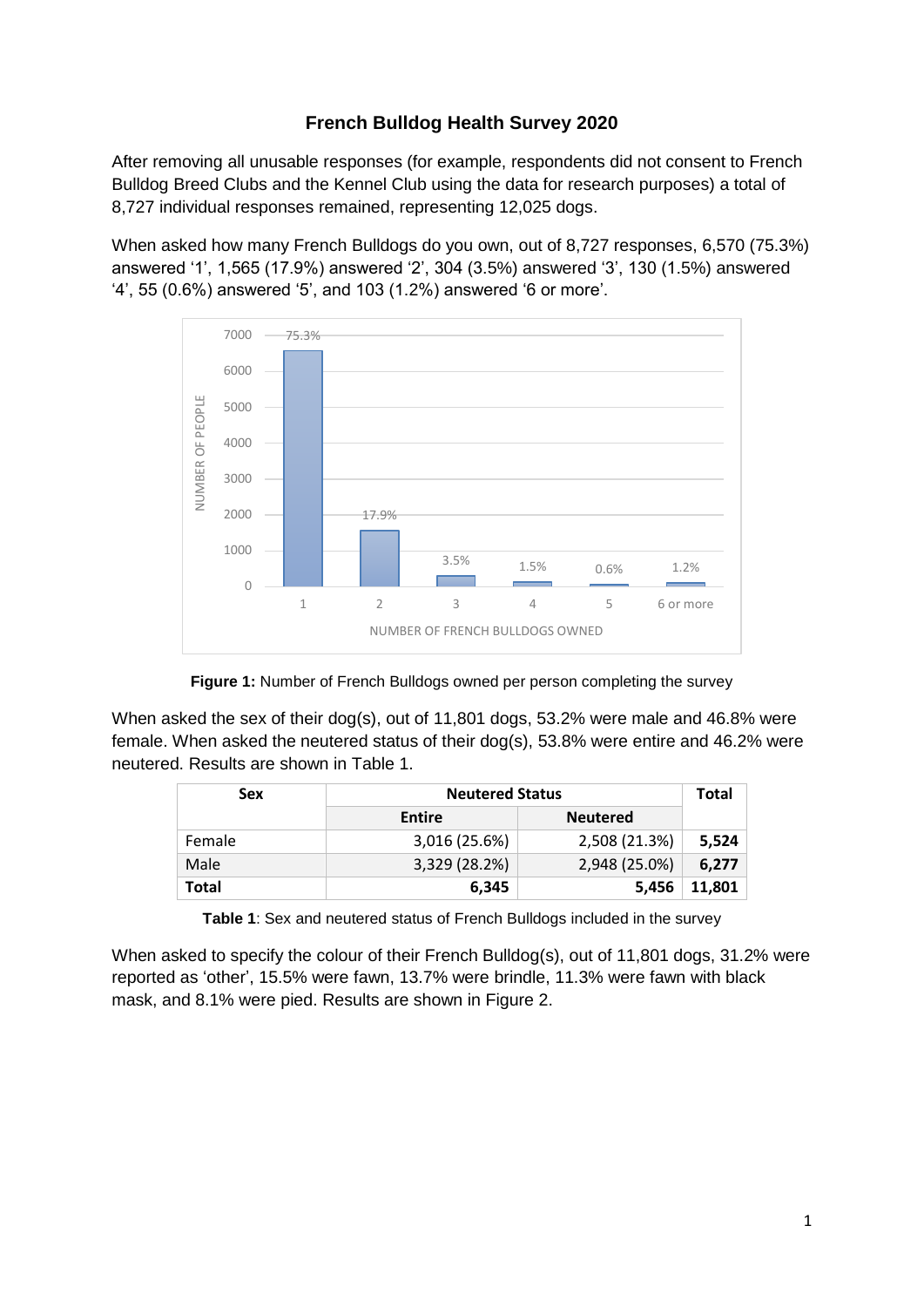# **French Bulldog Health Survey 2020**

After removing all unusable responses (for example, respondents did not consent to French Bulldog Breed Clubs and the Kennel Club using the data for research purposes) a total of 8,727 individual responses remained, representing 12,025 dogs.

When asked how many French Bulldogs do you own, out of 8,727 responses, 6,570 (75.3%) answered '1', 1,565 (17.9%) answered '2', 304 (3.5%) answered '3', 130 (1.5%) answered '4', 55 (0.6%) answered '5', and 103 (1.2%) answered '6 or more'.



**Figure 1:** Number of French Bulldogs owned per person completing the survey

When asked the sex of their dog(s), out of 11,801 dogs, 53.2% were male and 46.8% were female. When asked the neutered status of their dog(s), 53.8% were entire and 46.2% were neutered. Results are shown in Table 1.

| <b>Sex</b> | <b>Neutered Status</b>           |               |        |
|------------|----------------------------------|---------------|--------|
|            | <b>Entire</b><br><b>Neutered</b> |               |        |
| Female     | 3,016 (25.6%)                    | 2,508 (21.3%) | 5,524  |
| Male       | 3,329 (28.2%)                    | 2,948 (25.0%) | 6,277  |
| Total      | 6,345                            | 5,456         | 11,801 |

**Table 1**: Sex and neutered status of French Bulldogs included in the survey

When asked to specify the colour of their French Bulldog(s), out of 11,801 dogs, 31.2% were reported as 'other', 15.5% were fawn, 13.7% were brindle, 11.3% were fawn with black mask, and 8.1% were pied. Results are shown in Figure 2.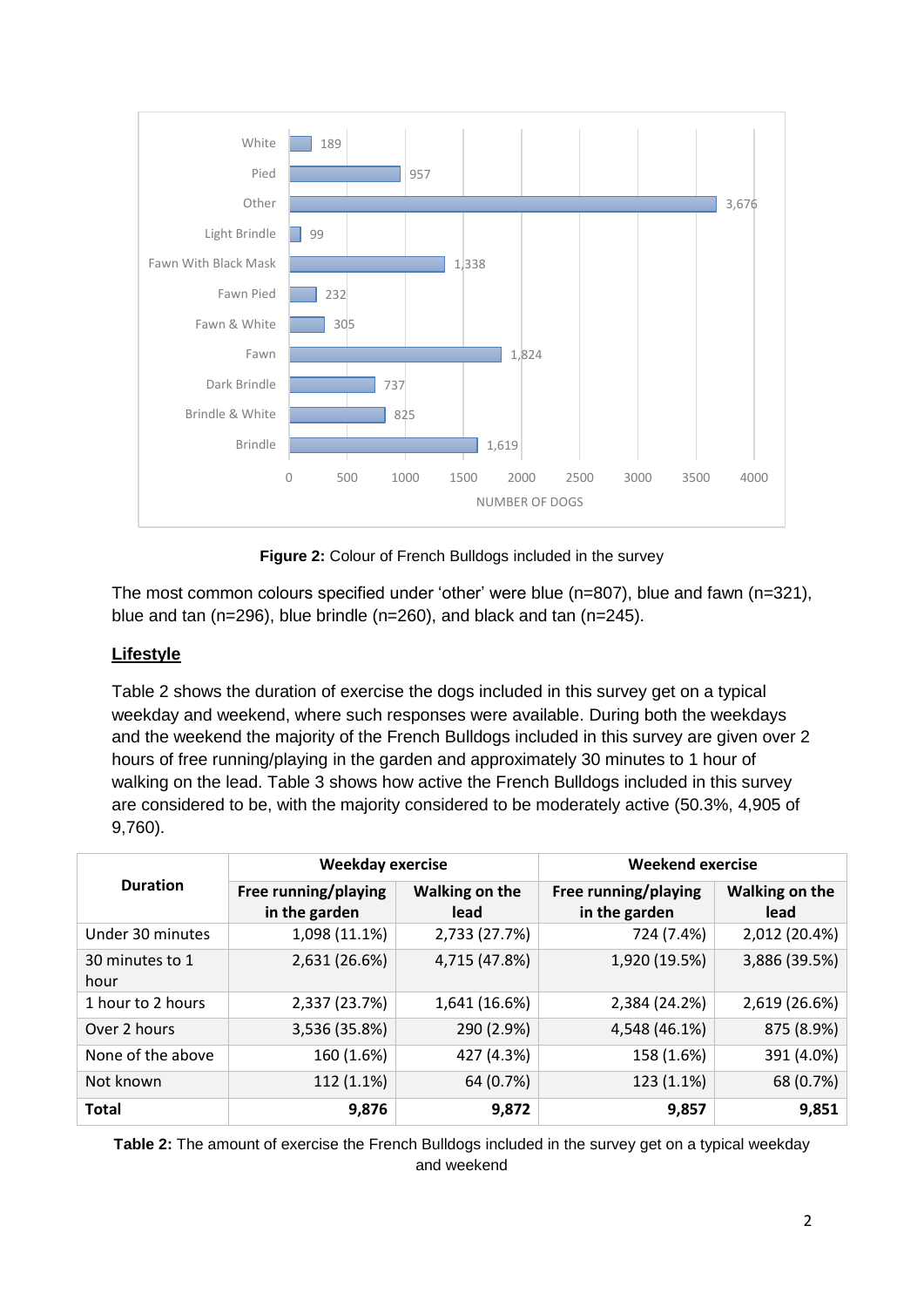

**Figure 2:** Colour of French Bulldogs included in the survey

The most common colours specified under 'other' were blue (n=807), blue and fawn (n=321), blue and tan (n=296), blue brindle (n=260), and black and tan (n=245).

## **Lifestyle**

Table 2 shows the duration of exercise the dogs included in this survey get on a typical weekday and weekend, where such responses were available. During both the weekdays and the weekend the majority of the French Bulldogs included in this survey are given over 2 hours of free running/playing in the garden and approximately 30 minutes to 1 hour of walking on the lead. Table 3 shows how active the French Bulldogs included in this survey are considered to be, with the majority considered to be moderately active (50.3%, 4,905 of 9,760).

|                         | <b>Weekday exercise</b>               |                        | <b>Weekend exercise</b>               |                        |
|-------------------------|---------------------------------------|------------------------|---------------------------------------|------------------------|
| <b>Duration</b>         | Free running/playing<br>in the garden | Walking on the<br>lead | Free running/playing<br>in the garden | Walking on the<br>lead |
| Under 30 minutes        | 1,098 (11.1%)                         | 2,733 (27.7%)          | 724 (7.4%)                            | 2,012 (20.4%)          |
| 30 minutes to 1<br>hour | 2,631 (26.6%)                         | 4,715 (47.8%)          | 1,920 (19.5%)                         | 3,886 (39.5%)          |
| 1 hour to 2 hours       | 2,337 (23.7%)                         | 1,641 (16.6%)          | 2,384 (24.2%)                         | 2,619 (26.6%)          |
| Over 2 hours            | 3,536 (35.8%)                         | 290 (2.9%)             | 4,548 (46.1%)                         | 875 (8.9%)             |
| None of the above       | 160 (1.6%)                            | 427 (4.3%)             | 158 (1.6%)                            | 391 (4.0%)             |
| Not known               | 112 (1.1%)                            | 64 (0.7%)              | 123 (1.1%)                            | 68 (0.7%)              |
| <b>Total</b>            | 9,876                                 | 9,872                  | 9,857                                 | 9,851                  |

**Table 2:** The amount of exercise the French Bulldogs included in the survey get on a typical weekday and weekend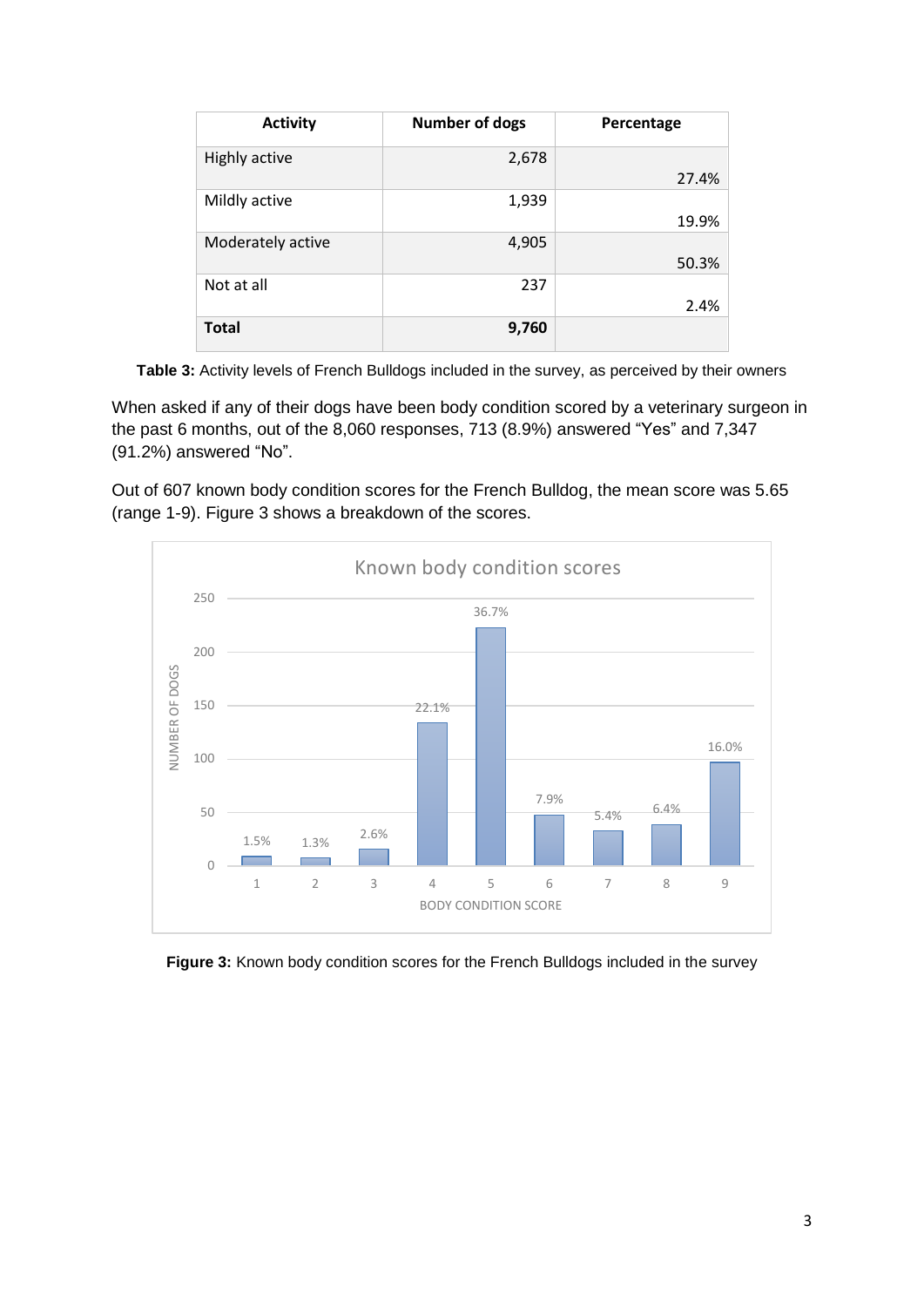| <b>Activity</b>   | <b>Number of dogs</b> | Percentage |
|-------------------|-----------------------|------------|
| Highly active     | 2,678                 |            |
|                   |                       | 27.4%      |
| Mildly active     | 1,939                 |            |
|                   |                       | 19.9%      |
| Moderately active | 4,905                 |            |
|                   |                       | 50.3%      |
| Not at all        | 237                   |            |
|                   |                       | 2.4%       |
| <b>Total</b>      | 9,760                 |            |

**Table 3:** Activity levels of French Bulldogs included in the survey, as perceived by their owners

When asked if any of their dogs have been body condition scored by a veterinary surgeon in the past 6 months, out of the 8,060 responses, 713 (8.9%) answered "Yes" and 7,347 (91.2%) answered "No".

Out of 607 known body condition scores for the French Bulldog, the mean score was 5.65 (range 1-9). Figure 3 shows a breakdown of the scores.



**Figure 3:** Known body condition scores for the French Bulldogs included in the survey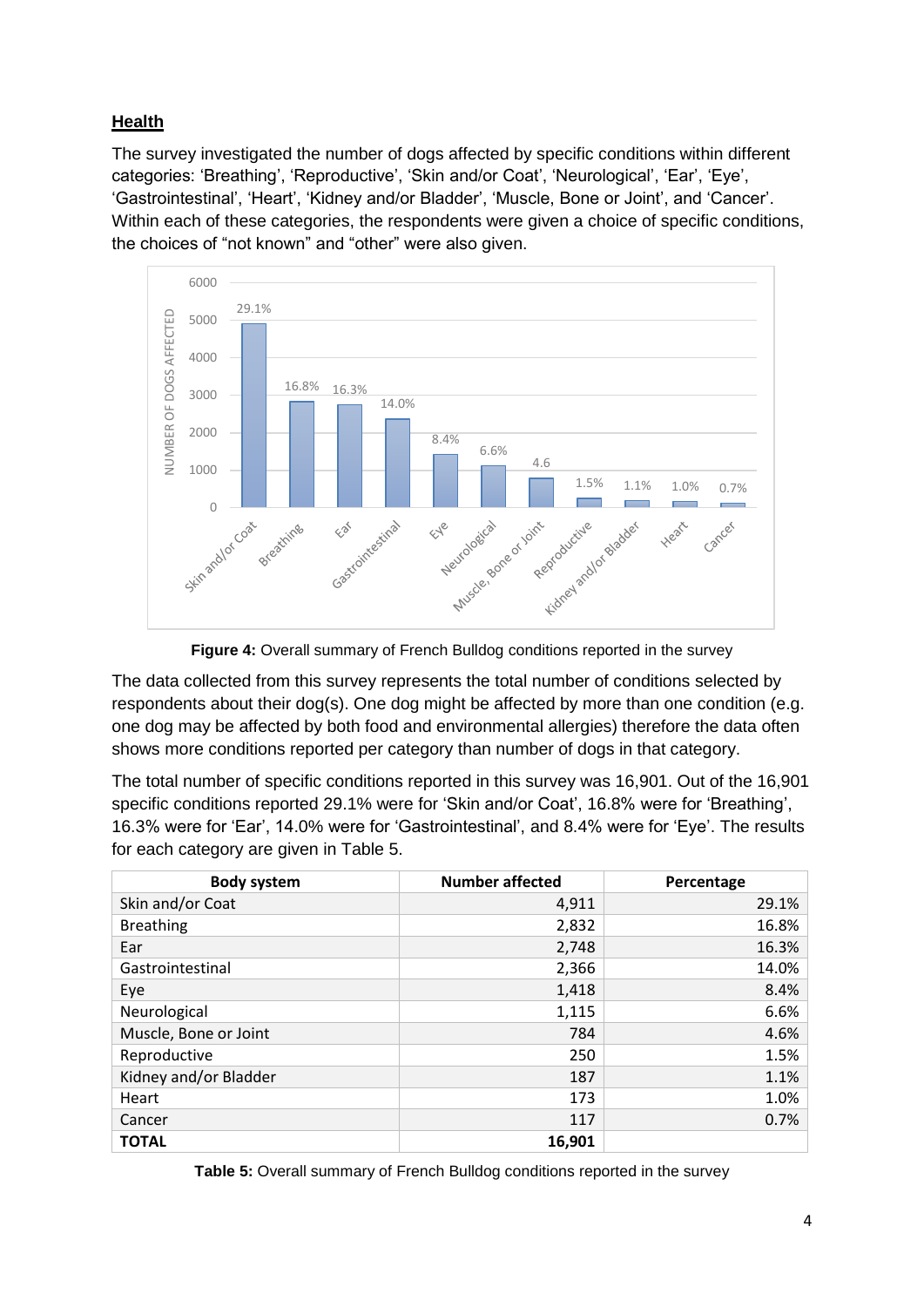# **Health**

The survey investigated the number of dogs affected by specific conditions within different categories: 'Breathing', 'Reproductive', 'Skin and/or Coat', 'Neurological', 'Ear', 'Eye', 'Gastrointestinal', 'Heart', 'Kidney and/or Bladder', 'Muscle, Bone or Joint', and 'Cancer'. Within each of these categories, the respondents were given a choice of specific conditions, the choices of "not known" and "other" were also given.



**Figure 4:** Overall summary of French Bulldog conditions reported in the survey

The data collected from this survey represents the total number of conditions selected by respondents about their dog(s). One dog might be affected by more than one condition (e.g. one dog may be affected by both food and environmental allergies) therefore the data often shows more conditions reported per category than number of dogs in that category.

The total number of specific conditions reported in this survey was 16,901. Out of the 16,901 specific conditions reported 29.1% were for 'Skin and/or Coat', 16.8% were for 'Breathing', 16.3% were for 'Ear', 14.0% were for 'Gastrointestinal', and 8.4% were for 'Eye'. The results for each category are given in Table 5.

| <b>Body system</b>    | <b>Number affected</b> | Percentage |
|-----------------------|------------------------|------------|
| Skin and/or Coat      | 4,911                  | 29.1%      |
| <b>Breathing</b>      | 2,832                  | 16.8%      |
| Ear                   | 2,748                  | 16.3%      |
| Gastrointestinal      | 2,366                  | 14.0%      |
| Eye                   | 1,418                  | 8.4%       |
| Neurological          | 1,115                  | 6.6%       |
| Muscle, Bone or Joint | 784                    | 4.6%       |
| Reproductive          | 250                    | 1.5%       |
| Kidney and/or Bladder | 187                    | 1.1%       |
| Heart                 | 173                    | 1.0%       |
| Cancer                | 117                    | 0.7%       |
| <b>TOTAL</b>          | 16,901                 |            |

**Table 5:** Overall summary of French Bulldog conditions reported in the survey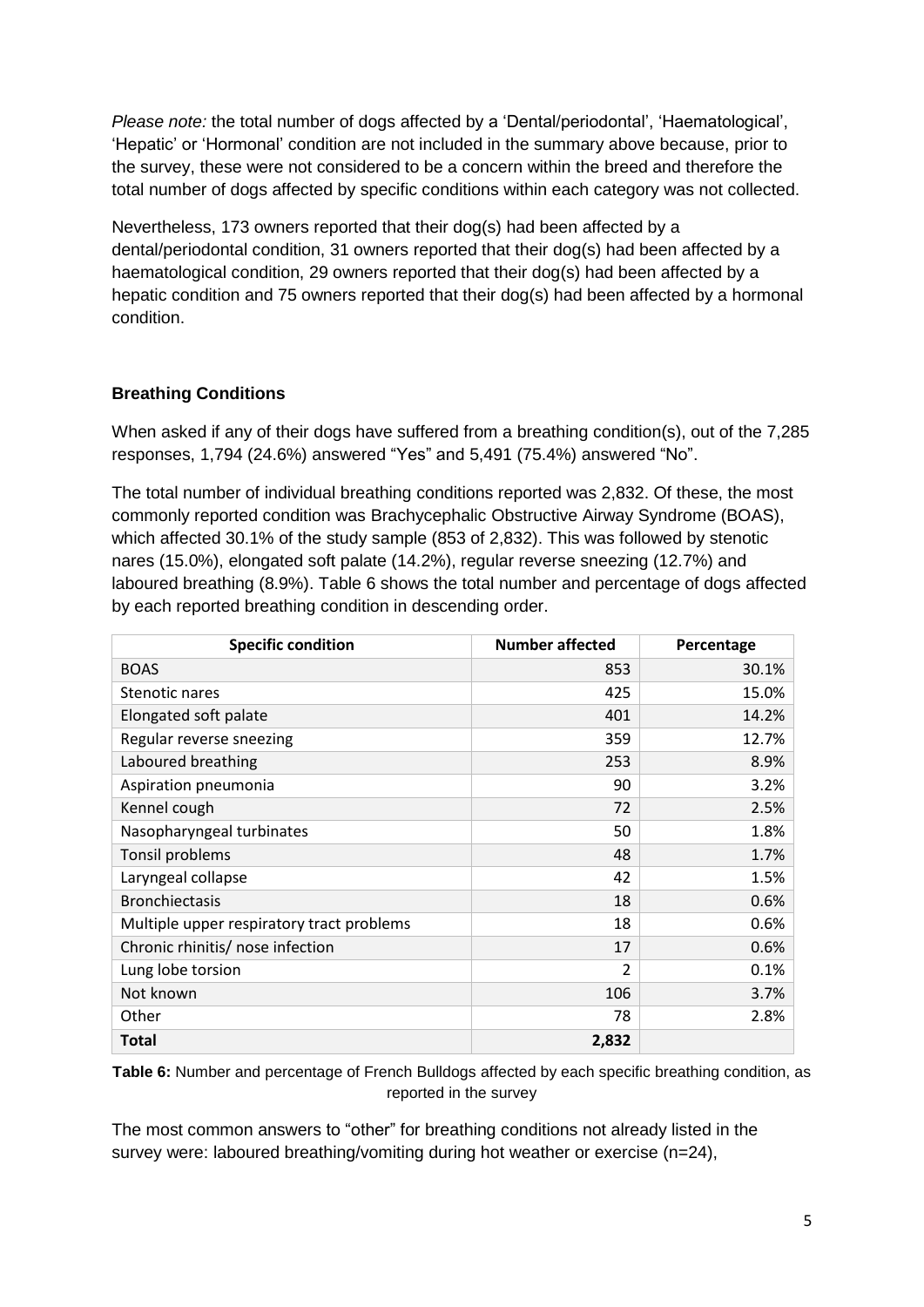*Please note:* the total number of dogs affected by a 'Dental/periodontal', 'Haematological', 'Hepatic' or 'Hormonal' condition are not included in the summary above because, prior to the survey, these were not considered to be a concern within the breed and therefore the total number of dogs affected by specific conditions within each category was not collected.

Nevertheless, 173 owners reported that their dog(s) had been affected by a dental/periodontal condition, 31 owners reported that their dog(s) had been affected by a haematological condition, 29 owners reported that their dog(s) had been affected by a hepatic condition and 75 owners reported that their dog(s) had been affected by a hormonal condition.

### **Breathing Conditions**

When asked if any of their dogs have suffered from a breathing condition(s), out of the 7,285 responses, 1,794 (24.6%) answered "Yes" and 5,491 (75.4%) answered "No".

The total number of individual breathing conditions reported was 2,832. Of these, the most commonly reported condition was Brachycephalic Obstructive Airway Syndrome (BOAS), which affected 30.1% of the study sample (853 of 2,832). This was followed by stenotic nares (15.0%), elongated soft palate (14.2%), regular reverse sneezing (12.7%) and laboured breathing (8.9%). Table 6 shows the total number and percentage of dogs affected by each reported breathing condition in descending order.

| <b>Specific condition</b>                 | <b>Number affected</b> | Percentage |
|-------------------------------------------|------------------------|------------|
| <b>BOAS</b>                               | 853                    | 30.1%      |
| Stenotic nares                            | 425                    | 15.0%      |
| Elongated soft palate                     | 401                    | 14.2%      |
| Regular reverse sneezing                  | 359                    | 12.7%      |
| Laboured breathing                        | 253                    | 8.9%       |
| Aspiration pneumonia                      | 90                     | 3.2%       |
| Kennel cough                              | 72                     | 2.5%       |
| Nasopharyngeal turbinates                 | 50                     | 1.8%       |
| Tonsil problems                           | 48                     | 1.7%       |
| Laryngeal collapse                        | 42                     | 1.5%       |
| <b>Bronchiectasis</b>                     | 18                     | 0.6%       |
| Multiple upper respiratory tract problems | 18                     | 0.6%       |
| Chronic rhinitis/ nose infection          | 17                     | 0.6%       |
| Lung lobe torsion                         | $\overline{2}$         | 0.1%       |
| Not known                                 | 106                    | 3.7%       |
| Other                                     | 78                     | 2.8%       |
| Total                                     | 2,832                  |            |

**Table 6:** Number and percentage of French Bulldogs affected by each specific breathing condition, as reported in the survey

The most common answers to "other" for breathing conditions not already listed in the survey were: laboured breathing/vomiting during hot weather or exercise (n=24),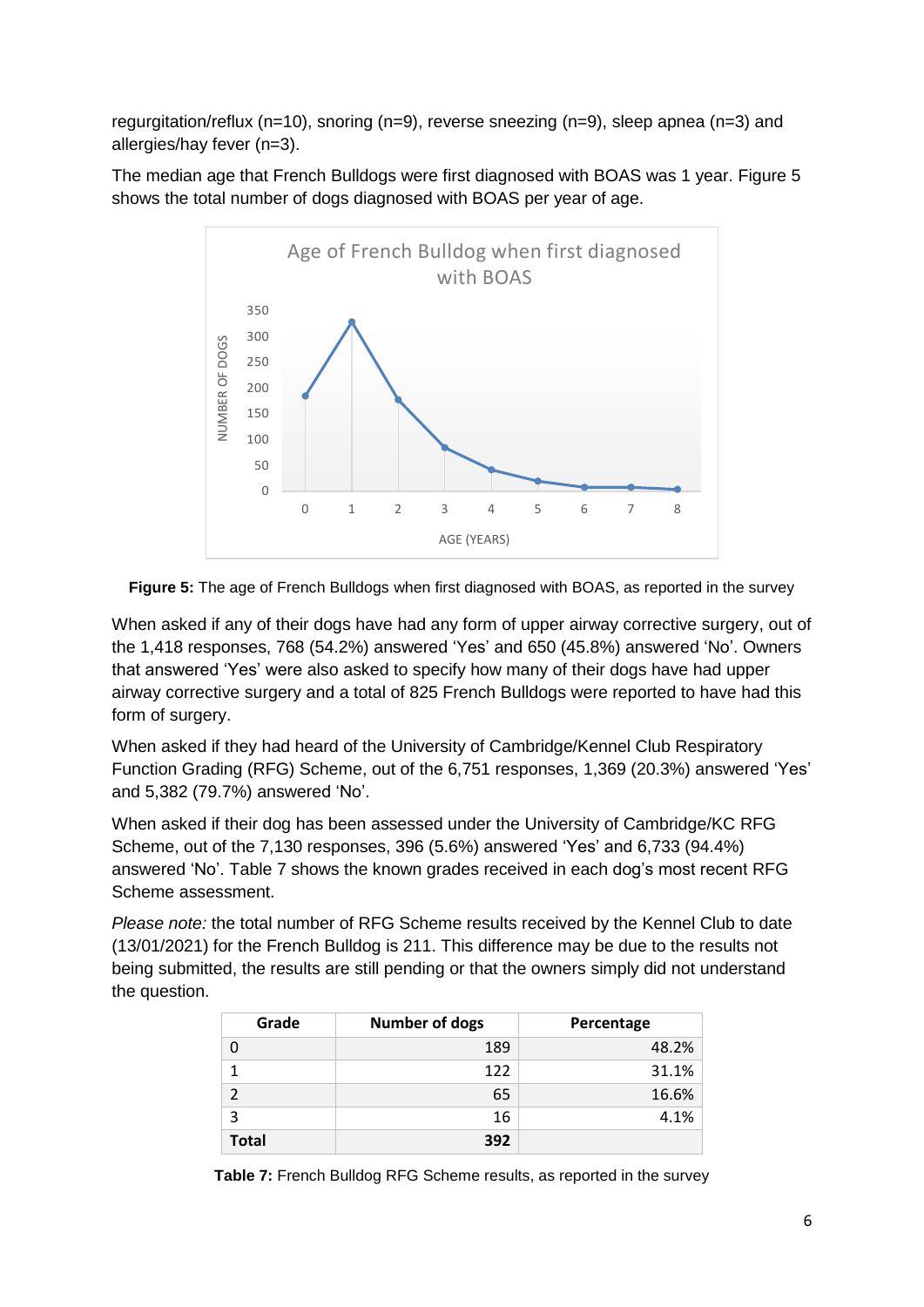regurgitation/reflux (n=10), snoring (n=9), reverse sneezing (n=9), sleep apnea (n=3) and allergies/hay fever (n=3).

The median age that French Bulldogs were first diagnosed with BOAS was 1 year. Figure 5 shows the total number of dogs diagnosed with BOAS per year of age.





When asked if any of their dogs have had any form of upper airway corrective surgery, out of the 1,418 responses, 768 (54.2%) answered 'Yes' and 650 (45.8%) answered 'No'. Owners that answered 'Yes' were also asked to specify how many of their dogs have had upper airway corrective surgery and a total of 825 French Bulldogs were reported to have had this form of surgery.

When asked if they had heard of the University of Cambridge/Kennel Club Respiratory Function Grading (RFG) Scheme, out of the 6,751 responses, 1,369 (20.3%) answered 'Yes' and 5,382 (79.7%) answered 'No'.

When asked if their dog has been assessed under the University of Cambridge/KC RFG Scheme, out of the 7,130 responses, 396 (5.6%) answered 'Yes' and 6,733 (94.4%) answered 'No'. Table 7 shows the known grades received in each dog's most recent RFG Scheme assessment.

*Please note:* the total number of RFG Scheme results received by the Kennel Club to date (13/01/2021) for the French Bulldog is 211. This difference may be due to the results not being submitted, the results are still pending or that the owners simply did not understand the question.

| Grade        | <b>Number of dogs</b> | Percentage |
|--------------|-----------------------|------------|
|              | 189                   | 48.2%      |
|              | 122                   | 31.1%      |
| C            | 65                    | 16.6%      |
| 3            | 16                    | 4.1%       |
| <b>Total</b> | 392                   |            |

**Table 7:** French Bulldog RFG Scheme results, as reported in the survey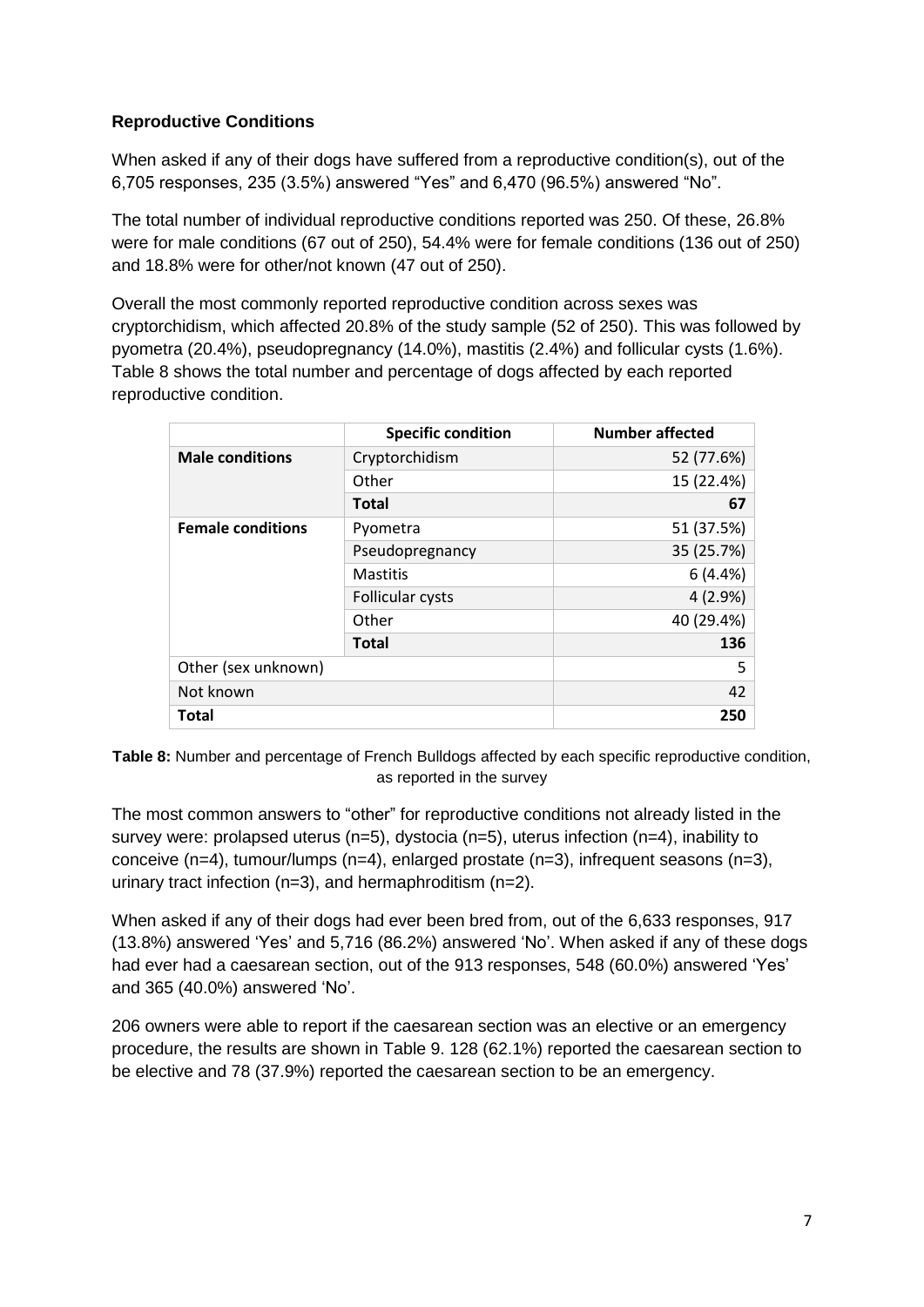## **Reproductive Conditions**

When asked if any of their dogs have suffered from a reproductive condition(s), out of the 6,705 responses, 235 (3.5%) answered "Yes" and 6,470 (96.5%) answered "No".

The total number of individual reproductive conditions reported was 250. Of these, 26.8% were for male conditions (67 out of 250), 54.4% were for female conditions (136 out of 250) and 18.8% were for other/not known (47 out of 250).

Overall the most commonly reported reproductive condition across sexes was cryptorchidism, which affected 20.8% of the study sample (52 of 250). This was followed by pyometra (20.4%), pseudopregnancy (14.0%), mastitis (2.4%) and follicular cysts (1.6%). Table 8 shows the total number and percentage of dogs affected by each reported reproductive condition.

|                          | <b>Specific condition</b> | <b>Number affected</b> |
|--------------------------|---------------------------|------------------------|
| <b>Male conditions</b>   | Cryptorchidism            | 52 (77.6%)             |
|                          | Other                     | 15 (22.4%)             |
|                          | <b>Total</b>              | 67                     |
| <b>Female conditions</b> | Pyometra                  | 51 (37.5%)             |
|                          | Pseudopregnancy           | 35 (25.7%)             |
|                          | <b>Mastitis</b>           | 6(4.4%)                |
|                          | <b>Follicular cysts</b>   | 4(2.9%)                |
|                          | Other                     | 40 (29.4%)             |
|                          | <b>Total</b>              | 136                    |
| Other (sex unknown)      |                           | 5                      |
| Not known                |                           | 42                     |
| <b>Total</b>             |                           | 250                    |

**Table 8:** Number and percentage of French Bulldogs affected by each specific reproductive condition, as reported in the survey

The most common answers to "other" for reproductive conditions not already listed in the survey were: prolapsed uterus (n=5), dystocia (n=5), uterus infection (n=4), inability to conceive  $(n=4)$ , tumour/lumps  $(n=4)$ , enlarged prostate  $(n=3)$ , infrequent seasons  $(n=3)$ , urinary tract infection (n=3), and hermaphroditism (n=2).

When asked if any of their dogs had ever been bred from, out of the 6,633 responses, 917 (13.8%) answered 'Yes' and 5,716 (86.2%) answered 'No'. When asked if any of these dogs had ever had a caesarean section, out of the 913 responses, 548 (60.0%) answered 'Yes' and 365 (40.0%) answered 'No'.

206 owners were able to report if the caesarean section was an elective or an emergency procedure, the results are shown in Table 9. 128 (62.1%) reported the caesarean section to be elective and 78 (37.9%) reported the caesarean section to be an emergency.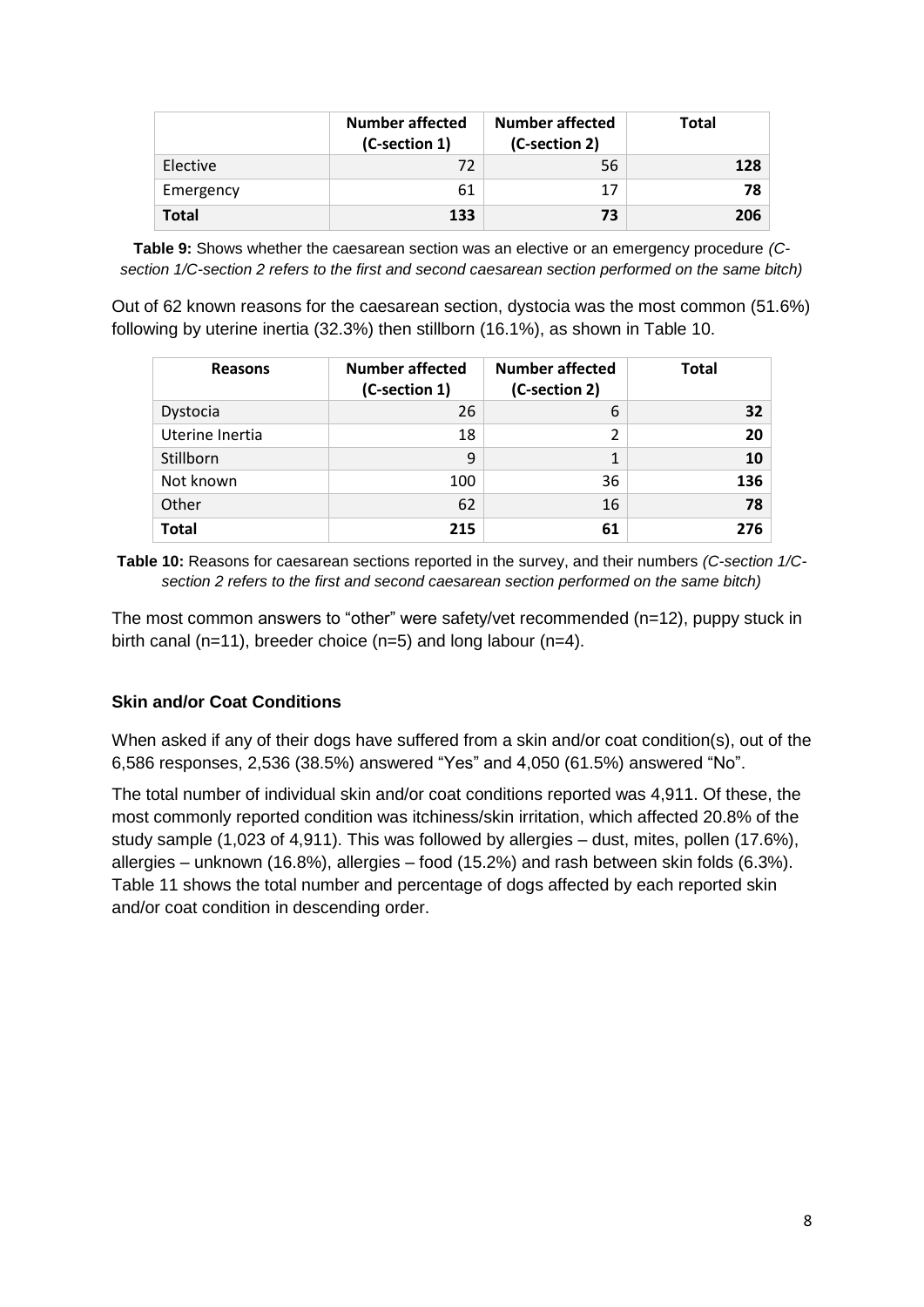|              | <b>Number affected</b><br>(C-section 1) | <b>Number affected</b><br>(C-section 2) | <b>Total</b> |
|--------------|-----------------------------------------|-----------------------------------------|--------------|
| Elective     | 72                                      | 56                                      | 128          |
| Emergency    | 61                                      |                                         | 78           |
| <b>Total</b> | 133                                     | 73                                      | 206          |

**Table 9:** Shows whether the caesarean section was an elective or an emergency procedure *(Csection 1/C-section 2 refers to the first and second caesarean section performed on the same bitch)*

Out of 62 known reasons for the caesarean section, dystocia was the most common (51.6%) following by uterine inertia (32.3%) then stillborn (16.1%), as shown in Table 10.

| <b>Reasons</b>  | <b>Number affected</b><br>(C-section 1) | <b>Number affected</b><br>(C-section 2) | <b>Total</b> |
|-----------------|-----------------------------------------|-----------------------------------------|--------------|
| Dystocia        | 26                                      | 6                                       | 32           |
| Uterine Inertia | 18                                      | 2                                       | 20           |
| Stillborn       | 9                                       | 1                                       | 10           |
| Not known       | 100                                     | 36                                      | 136          |
| Other           | 62                                      | 16                                      | 78           |
| <b>Total</b>    | 215                                     | 61                                      | 276          |

**Table 10:** Reasons for caesarean sections reported in the survey, and their numbers *(C-section 1/Csection 2 refers to the first and second caesarean section performed on the same bitch)*

The most common answers to "other" were safety/vet recommended (n=12), puppy stuck in birth canal (n=11), breeder choice (n=5) and long labour (n=4).

#### **Skin and/or Coat Conditions**

When asked if any of their dogs have suffered from a skin and/or coat condition(s), out of the 6,586 responses, 2,536 (38.5%) answered "Yes" and 4,050 (61.5%) answered "No".

The total number of individual skin and/or coat conditions reported was 4,911. Of these, the most commonly reported condition was itchiness/skin irritation, which affected 20.8% of the study sample (1,023 of 4,911). This was followed by allergies – dust, mites, pollen (17.6%), allergies – unknown (16.8%), allergies – food (15.2%) and rash between skin folds (6.3%). Table 11 shows the total number and percentage of dogs affected by each reported skin and/or coat condition in descending order.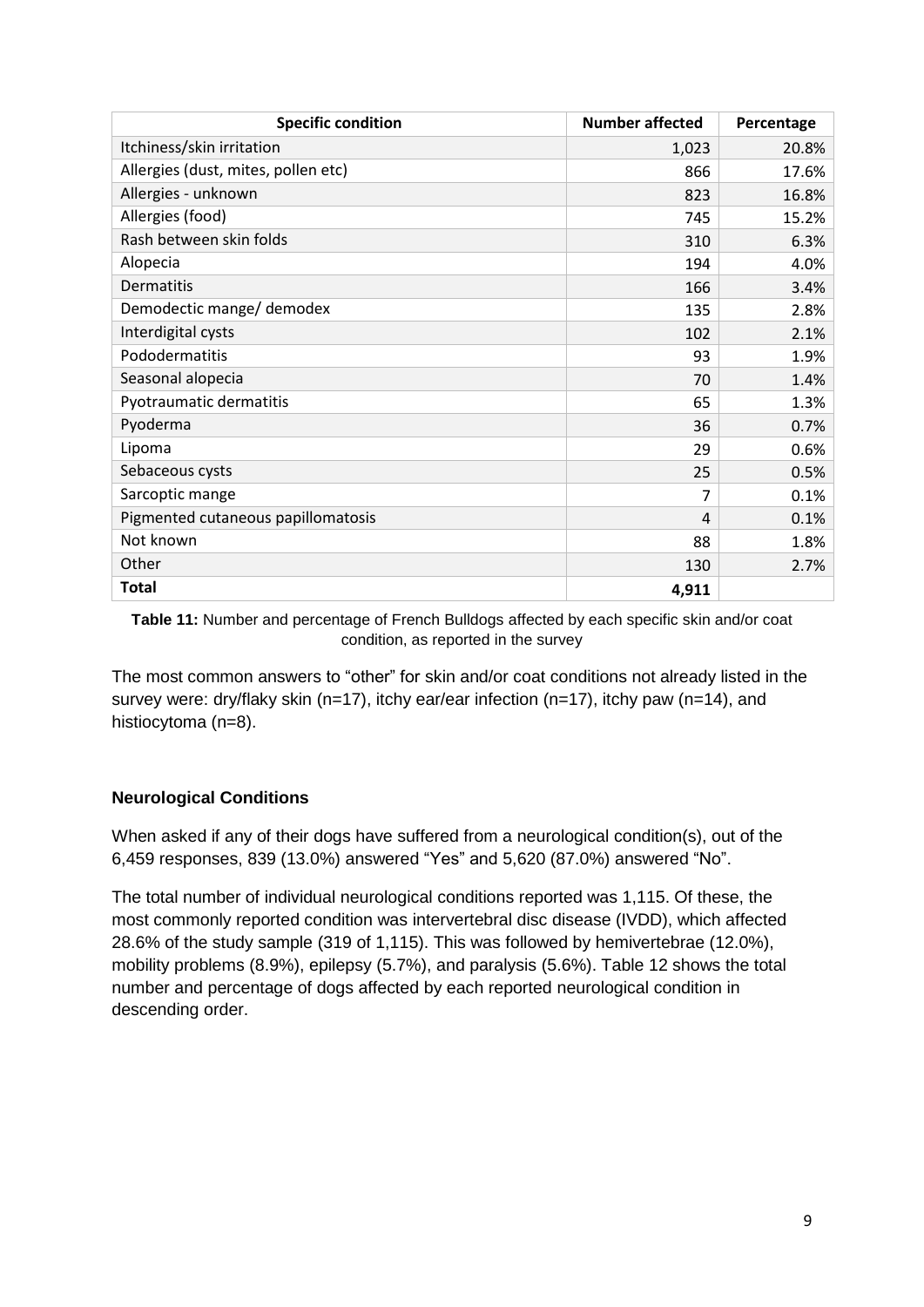| <b>Specific condition</b>           | <b>Number affected</b> | Percentage |
|-------------------------------------|------------------------|------------|
| Itchiness/skin irritation           | 1,023                  | 20.8%      |
| Allergies (dust, mites, pollen etc) | 866                    | 17.6%      |
| Allergies - unknown                 | 823                    | 16.8%      |
| Allergies (food)                    | 745                    | 15.2%      |
| Rash between skin folds             | 310                    | 6.3%       |
| Alopecia                            | 194                    | 4.0%       |
| Dermatitis                          | 166                    | 3.4%       |
| Demodectic mange/ demodex           | 135                    | 2.8%       |
| Interdigital cysts                  | 102                    | 2.1%       |
| Pododermatitis                      | 93                     | 1.9%       |
| Seasonal alopecia                   | 70                     | 1.4%       |
| Pyotraumatic dermatitis             | 65                     | 1.3%       |
| Pyoderma                            | 36                     | 0.7%       |
| Lipoma                              | 29                     | 0.6%       |
| Sebaceous cysts                     | 25                     | 0.5%       |
| Sarcoptic mange                     | 7                      | 0.1%       |
| Pigmented cutaneous papillomatosis  | 4                      | 0.1%       |
| Not known                           | 88                     | 1.8%       |
| Other                               | 130                    | 2.7%       |
| <b>Total</b>                        | 4,911                  |            |

**Table 11:** Number and percentage of French Bulldogs affected by each specific skin and/or coat condition, as reported in the survey

The most common answers to "other" for skin and/or coat conditions not already listed in the survey were: dry/flaky skin (n=17), itchy ear/ear infection (n=17), itchy paw (n=14), and histiocytoma (n=8).

### **Neurological Conditions**

When asked if any of their dogs have suffered from a neurological condition(s), out of the 6,459 responses, 839 (13.0%) answered "Yes" and 5,620 (87.0%) answered "No".

The total number of individual neurological conditions reported was 1,115. Of these, the most commonly reported condition was intervertebral disc disease (IVDD), which affected 28.6% of the study sample (319 of 1,115). This was followed by hemivertebrae (12.0%), mobility problems (8.9%), epilepsy (5.7%), and paralysis (5.6%). Table 12 shows the total number and percentage of dogs affected by each reported neurological condition in descending order.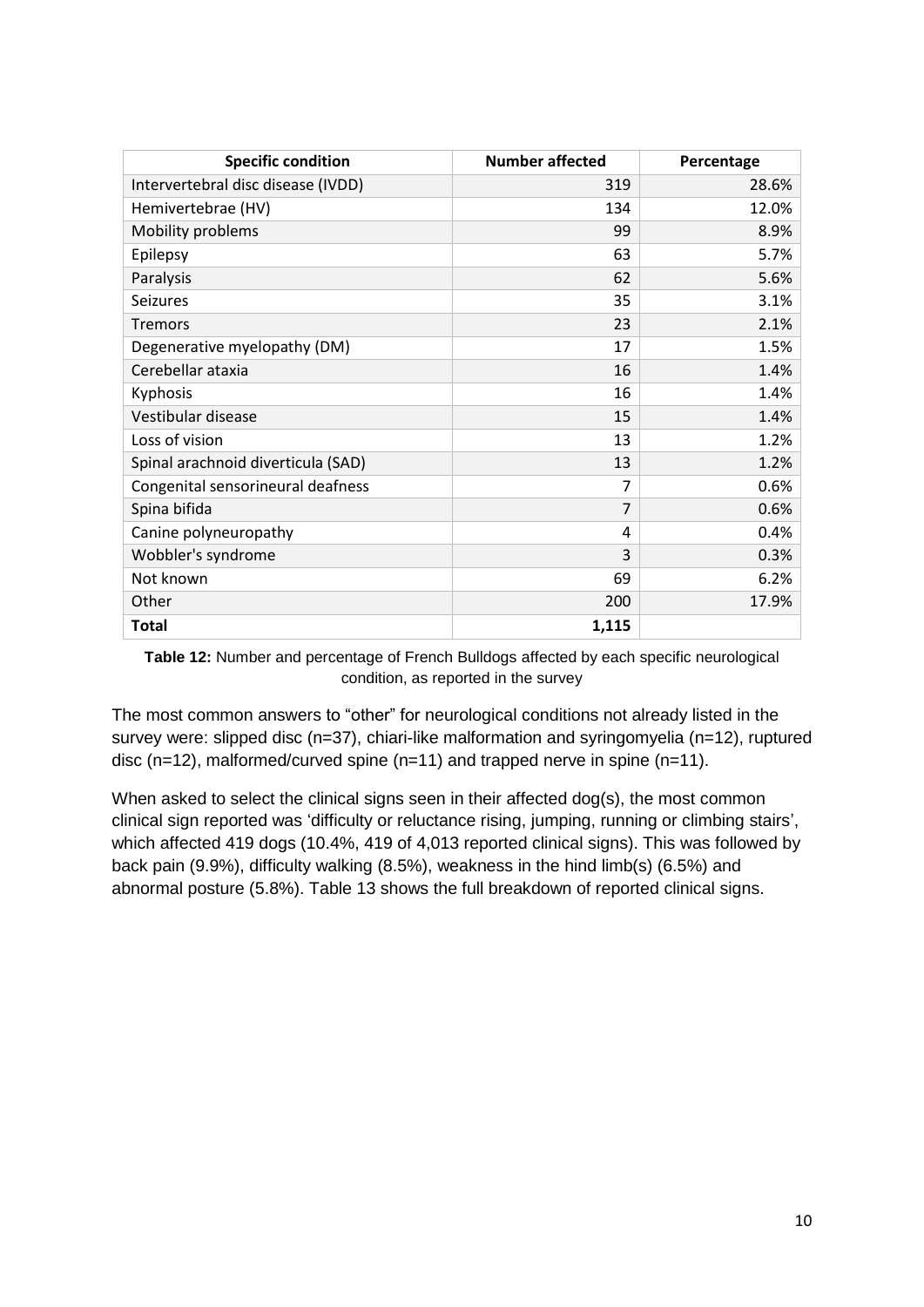| <b>Specific condition</b>          | <b>Number affected</b> | Percentage |
|------------------------------------|------------------------|------------|
| Intervertebral disc disease (IVDD) | 319                    | 28.6%      |
| Hemivertebrae (HV)                 | 134                    | 12.0%      |
| Mobility problems                  | 99                     | 8.9%       |
| Epilepsy                           | 63                     | 5.7%       |
| Paralysis                          | 62                     | 5.6%       |
| Seizures                           | 35                     | 3.1%       |
| <b>Tremors</b>                     | 23                     | 2.1%       |
| Degenerative myelopathy (DM)       | 17                     | 1.5%       |
| Cerebellar ataxia                  | 16                     | 1.4%       |
| Kyphosis                           | 16                     | 1.4%       |
| Vestibular disease                 | 15                     | 1.4%       |
| Loss of vision                     | 13                     | 1.2%       |
| Spinal arachnoid diverticula (SAD) | 13                     | 1.2%       |
| Congenital sensorineural deafness  | 7                      | 0.6%       |
| Spina bifida                       | $\overline{7}$         | 0.6%       |
| Canine polyneuropathy              | 4                      | 0.4%       |
| Wobbler's syndrome                 | 3                      | 0.3%       |
| Not known                          | 69                     | 6.2%       |
| Other                              | 200                    | 17.9%      |
| <b>Total</b>                       | 1,115                  |            |

**Table 12:** Number and percentage of French Bulldogs affected by each specific neurological condition, as reported in the survey

The most common answers to "other" for neurological conditions not already listed in the survey were: slipped disc (n=37), chiari-like malformation and syringomyelia (n=12), ruptured disc (n=12), malformed/curved spine (n=11) and trapped nerve in spine (n=11).

When asked to select the clinical signs seen in their affected dog(s), the most common clinical sign reported was 'difficulty or reluctance rising, jumping, running or climbing stairs', which affected 419 dogs (10.4%, 419 of 4,013 reported clinical signs). This was followed by back pain (9.9%), difficulty walking (8.5%), weakness in the hind limb(s) (6.5%) and abnormal posture (5.8%). Table 13 shows the full breakdown of reported clinical signs.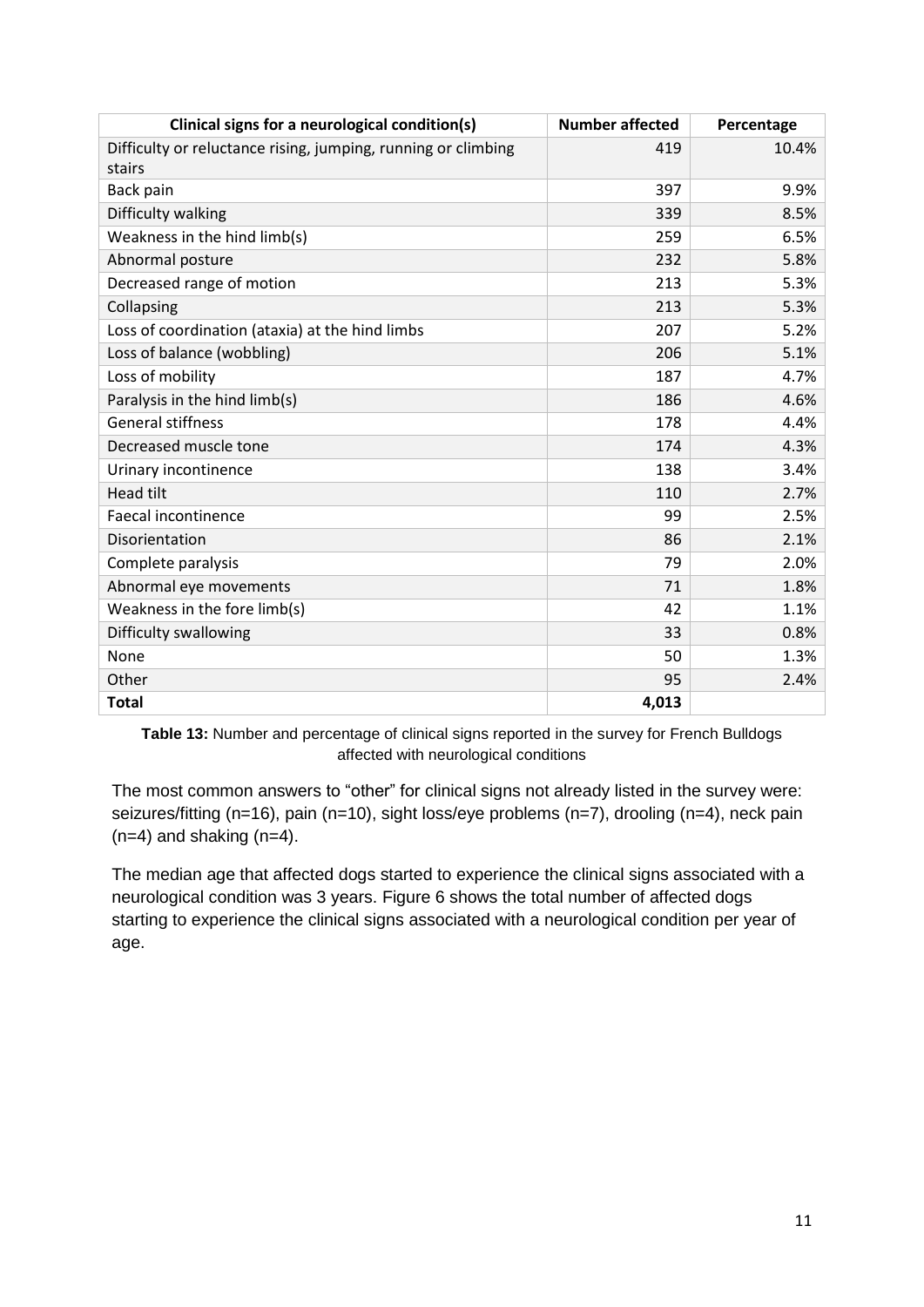| Clinical signs for a neurological condition(s)                          | <b>Number affected</b> | Percentage |
|-------------------------------------------------------------------------|------------------------|------------|
| Difficulty or reluctance rising, jumping, running or climbing<br>stairs | 419                    | 10.4%      |
| Back pain                                                               | 397                    | 9.9%       |
| Difficulty walking                                                      | 339                    | 8.5%       |
| Weakness in the hind limb(s)                                            | 259                    | 6.5%       |
| Abnormal posture                                                        | 232                    | 5.8%       |
| Decreased range of motion                                               | 213                    | 5.3%       |
| Collapsing                                                              | 213                    | 5.3%       |
| Loss of coordination (ataxia) at the hind limbs                         | 207                    | 5.2%       |
| Loss of balance (wobbling)                                              | 206                    | 5.1%       |
| Loss of mobility                                                        | 187                    | 4.7%       |
| Paralysis in the hind limb(s)                                           | 186                    | 4.6%       |
| <b>General stiffness</b>                                                | 178                    | 4.4%       |
| Decreased muscle tone                                                   | 174                    | 4.3%       |
| Urinary incontinence                                                    | 138                    | 3.4%       |
| <b>Head tilt</b>                                                        | 110                    | 2.7%       |
| Faecal incontinence                                                     | 99                     | 2.5%       |
| Disorientation                                                          | 86                     | 2.1%       |
| Complete paralysis                                                      | 79                     | 2.0%       |
| Abnormal eye movements                                                  | 71                     | 1.8%       |
| Weakness in the fore limb(s)                                            | 42                     | 1.1%       |
| Difficulty swallowing                                                   | 33                     | 0.8%       |
| None                                                                    | 50                     | 1.3%       |
| Other                                                                   | 95                     | 2.4%       |
| <b>Total</b>                                                            | 4,013                  |            |

Table 13: Number and percentage of clinical signs reported in the survey for French Bulldogs affected with neurological conditions

The most common answers to "other" for clinical signs not already listed in the survey were: seizures/fitting (n=16), pain (n=10), sight loss/eye problems (n=7), drooling (n=4), neck pain  $(n=4)$  and shaking  $(n=4)$ .

The median age that affected dogs started to experience the clinical signs associated with a neurological condition was 3 years. Figure 6 shows the total number of affected dogs starting to experience the clinical signs associated with a neurological condition per year of age.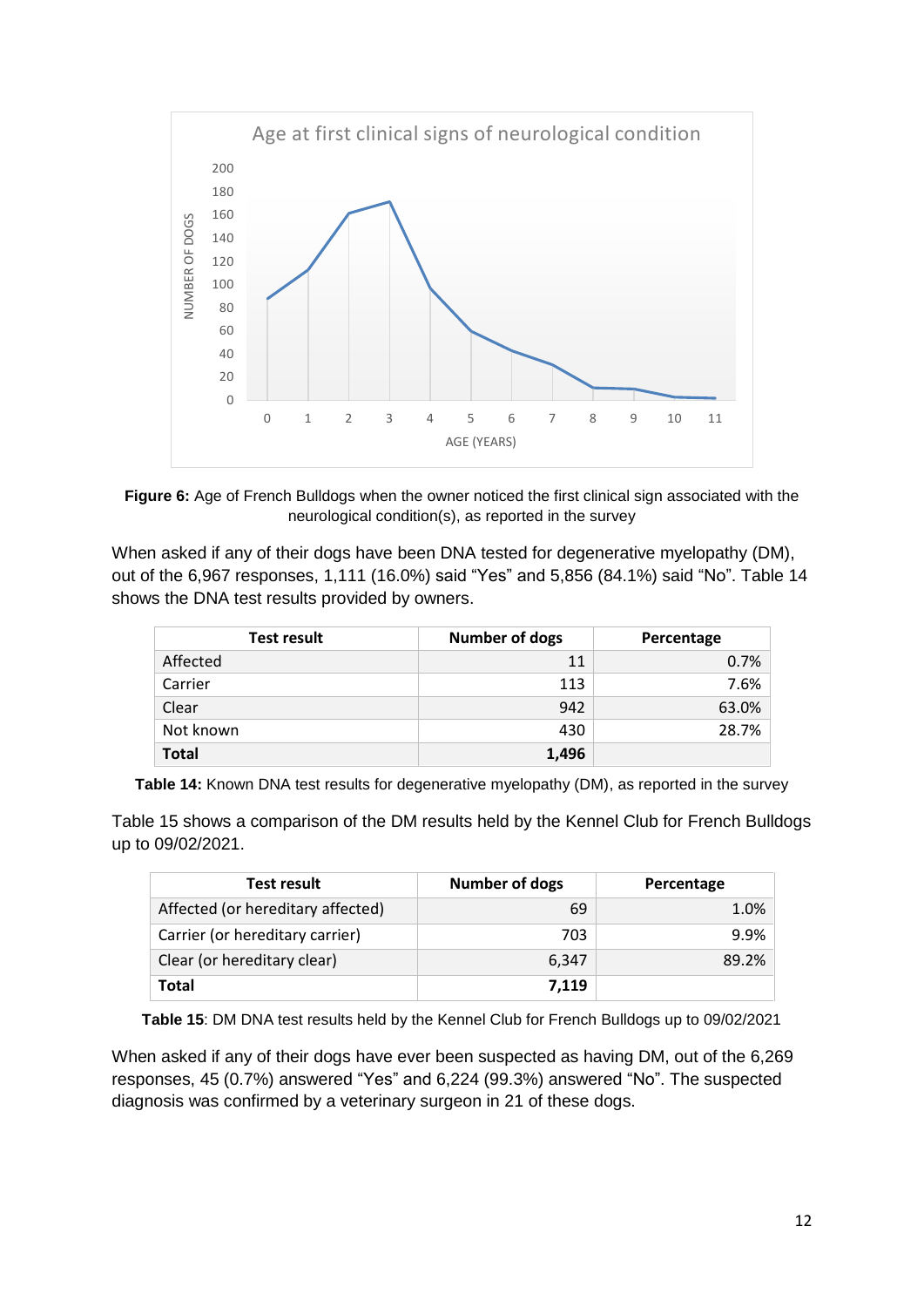

**Figure 6:** Age of French Bulldogs when the owner noticed the first clinical sign associated with the neurological condition(s), as reported in the survey

When asked if any of their dogs have been DNA tested for degenerative myelopathy (DM). out of the 6,967 responses, 1,111 (16.0%) said "Yes" and 5,856 (84.1%) said "No". Table 14 shows the DNA test results provided by owners.

| <b>Test result</b> | <b>Number of dogs</b> | Percentage |
|--------------------|-----------------------|------------|
| Affected           | 11                    | 0.7%       |
| Carrier            | 113                   | 7.6%       |
| Clear              | 942                   | 63.0%      |
| Not known          | 430                   | 28.7%      |
| <b>Total</b>       | 1,496                 |            |

**Table 14:** Known DNA test results for degenerative myelopathy (DM), as reported in the survey

Table 15 shows a comparison of the DM results held by the Kennel Club for French Bulldogs up to 09/02/2021.

| Test result                       | <b>Number of dogs</b> | Percentage |
|-----------------------------------|-----------------------|------------|
| Affected (or hereditary affected) | 69                    | 1.0%       |
| Carrier (or hereditary carrier)   | 703                   | $9.9\%$    |
| Clear (or hereditary clear)       | 6,347                 | 89.2%      |
| <b>Total</b>                      | 7,119                 |            |

**Table 15**: DM DNA test results held by the Kennel Club for French Bulldogs up to 09/02/2021

When asked if any of their dogs have ever been suspected as having DM, out of the 6,269 responses, 45 (0.7%) answered "Yes" and 6,224 (99.3%) answered "No". The suspected diagnosis was confirmed by a veterinary surgeon in 21 of these dogs.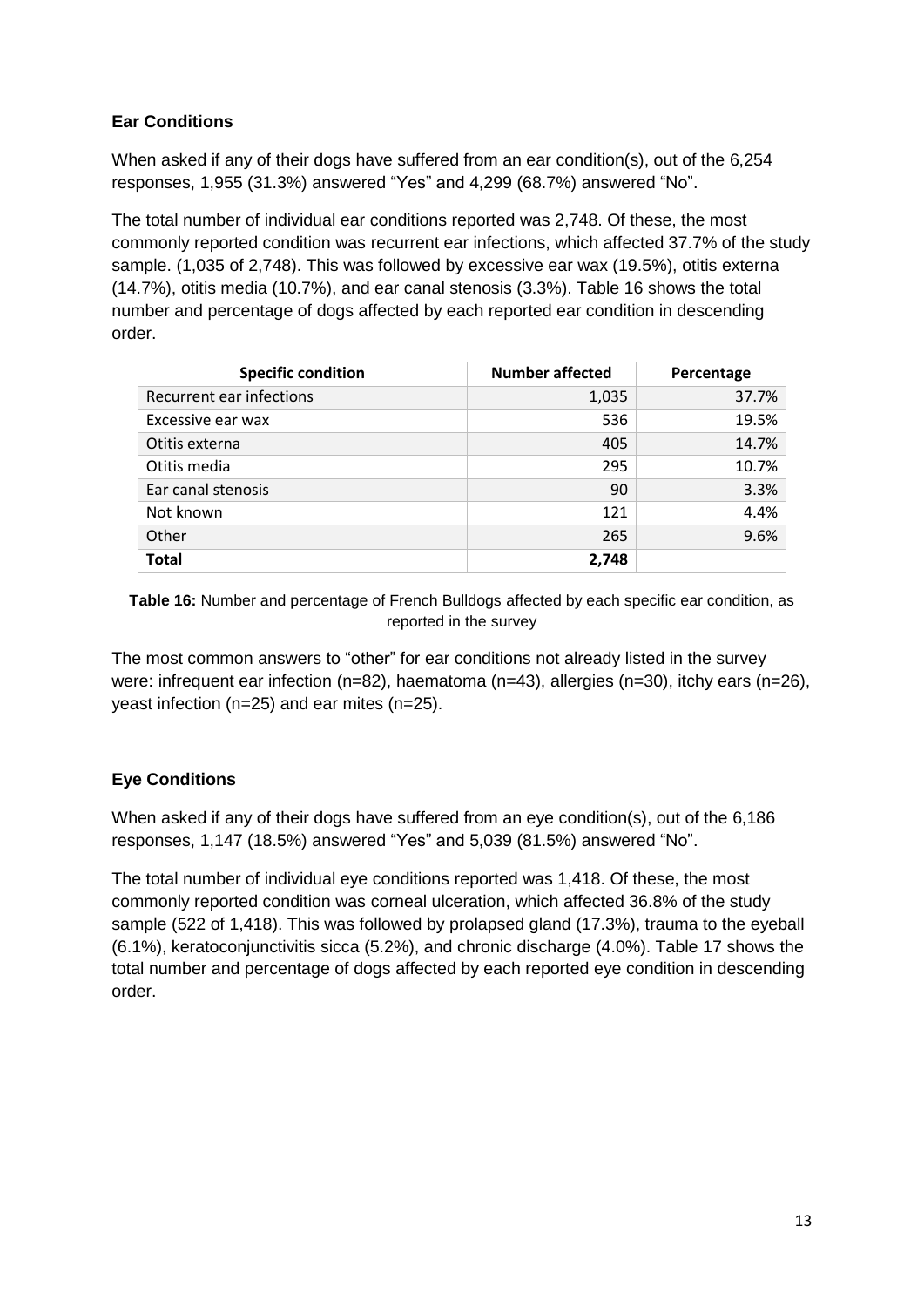# **Ear Conditions**

When asked if any of their dogs have suffered from an ear condition(s), out of the 6,254 responses, 1,955 (31.3%) answered "Yes" and 4,299 (68.7%) answered "No".

The total number of individual ear conditions reported was 2,748. Of these, the most commonly reported condition was recurrent ear infections, which affected 37.7% of the study sample. (1,035 of 2,748). This was followed by excessive ear wax (19.5%), otitis externa (14.7%), otitis media (10.7%), and ear canal stenosis (3.3%). Table 16 shows the total number and percentage of dogs affected by each reported ear condition in descending order.

| <b>Specific condition</b> | <b>Number affected</b> | Percentage |
|---------------------------|------------------------|------------|
| Recurrent ear infections  | 1,035                  | 37.7%      |
| Excessive ear wax         | 536                    | 19.5%      |
| Otitis externa            | 405                    | 14.7%      |
| Otitis media              | 295                    | 10.7%      |
| Ear canal stenosis        | 90                     | 3.3%       |
| Not known                 | 121                    | 4.4%       |
| Other                     | 265                    | 9.6%       |
| <b>Total</b>              | 2,748                  |            |

**Table 16:** Number and percentage of French Bulldogs affected by each specific ear condition, as reported in the survey

The most common answers to "other" for ear conditions not already listed in the survey were: infrequent ear infection (n=82), haematoma (n=43), allergies (n=30), itchy ears (n=26), yeast infection (n=25) and ear mites (n=25).

# **Eye Conditions**

When asked if any of their dogs have suffered from an eye condition(s), out of the 6,186 responses, 1,147 (18.5%) answered "Yes" and 5,039 (81.5%) answered "No".

The total number of individual eye conditions reported was 1,418. Of these, the most commonly reported condition was corneal ulceration, which affected 36.8% of the study sample (522 of 1,418). This was followed by prolapsed gland (17.3%), trauma to the eyeball (6.1%), keratoconjunctivitis sicca (5.2%), and chronic discharge (4.0%). Table 17 shows the total number and percentage of dogs affected by each reported eye condition in descending order.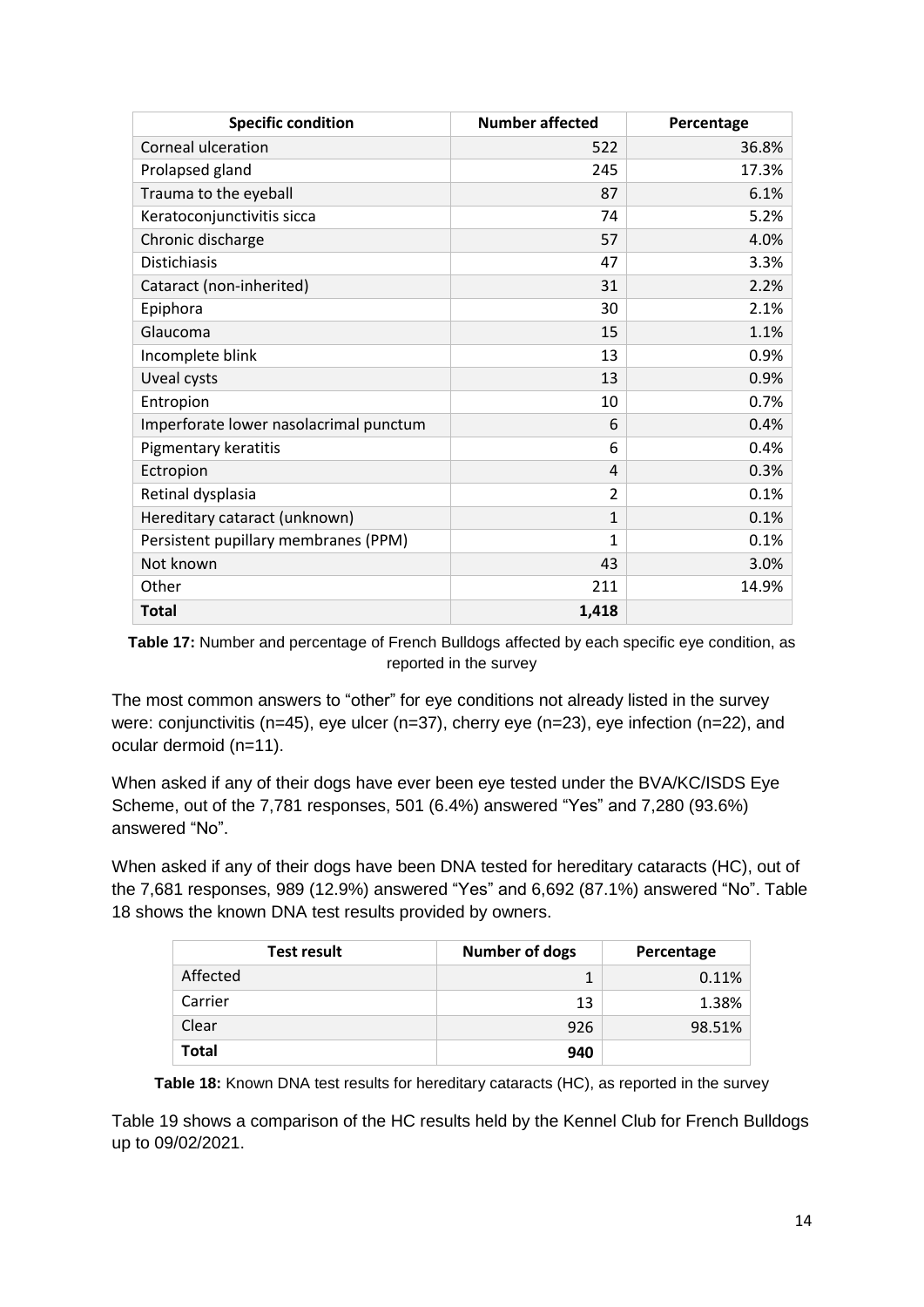| <b>Specific condition</b>              | <b>Number affected</b> | Percentage |
|----------------------------------------|------------------------|------------|
| Corneal ulceration                     | 522                    | 36.8%      |
| Prolapsed gland                        | 245                    | 17.3%      |
| Trauma to the eyeball                  | 87                     | 6.1%       |
| Keratoconjunctivitis sicca             | 74                     | 5.2%       |
| Chronic discharge                      | 57                     | 4.0%       |
| <b>Distichiasis</b>                    | 47                     | 3.3%       |
| Cataract (non-inherited)               | 31                     | 2.2%       |
| Epiphora                               | 30                     | 2.1%       |
| Glaucoma                               | 15                     | 1.1%       |
| Incomplete blink                       | 13                     | 0.9%       |
| <b>Uveal cysts</b>                     | 13                     | 0.9%       |
| Entropion                              | 10                     | 0.7%       |
| Imperforate lower nasolacrimal punctum | 6                      | 0.4%       |
| Pigmentary keratitis                   | 6                      | 0.4%       |
| Ectropion                              | 4                      | 0.3%       |
| Retinal dysplasia                      | $\overline{2}$         | 0.1%       |
| Hereditary cataract (unknown)          | $\mathbf{1}$           | 0.1%       |
| Persistent pupillary membranes (PPM)   | 1                      | 0.1%       |
| Not known                              | 43                     | 3.0%       |
| Other                                  | 211                    | 14.9%      |
| <b>Total</b>                           | 1,418                  |            |

**Table 17:** Number and percentage of French Bulldogs affected by each specific eye condition, as reported in the survey

The most common answers to "other" for eye conditions not already listed in the survey were: conjunctivitis (n=45), eye ulcer (n=37), cherry eye (n=23), eye infection (n=22), and ocular dermoid (n=11).

When asked if any of their dogs have ever been eye tested under the BVA/KC/ISDS Eye Scheme, out of the 7,781 responses, 501 (6.4%) answered "Yes" and 7,280 (93.6%) answered "No".

When asked if any of their dogs have been DNA tested for hereditary cataracts (HC), out of the 7,681 responses, 989 (12.9%) answered "Yes" and 6,692 (87.1%) answered "No". Table 18 shows the known DNA test results provided by owners.

| <b>Test result</b> | <b>Number of dogs</b> | Percentage |
|--------------------|-----------------------|------------|
| Affected           |                       | 0.11%      |
| Carrier            | 13                    | 1.38%      |
| Clear              | 926                   | 98.51%     |
| <b>Total</b>       | 940                   |            |

**Table 18:** Known DNA test results for hereditary cataracts (HC), as reported in the survey

Table 19 shows a comparison of the HC results held by the Kennel Club for French Bulldogs up to 09/02/2021.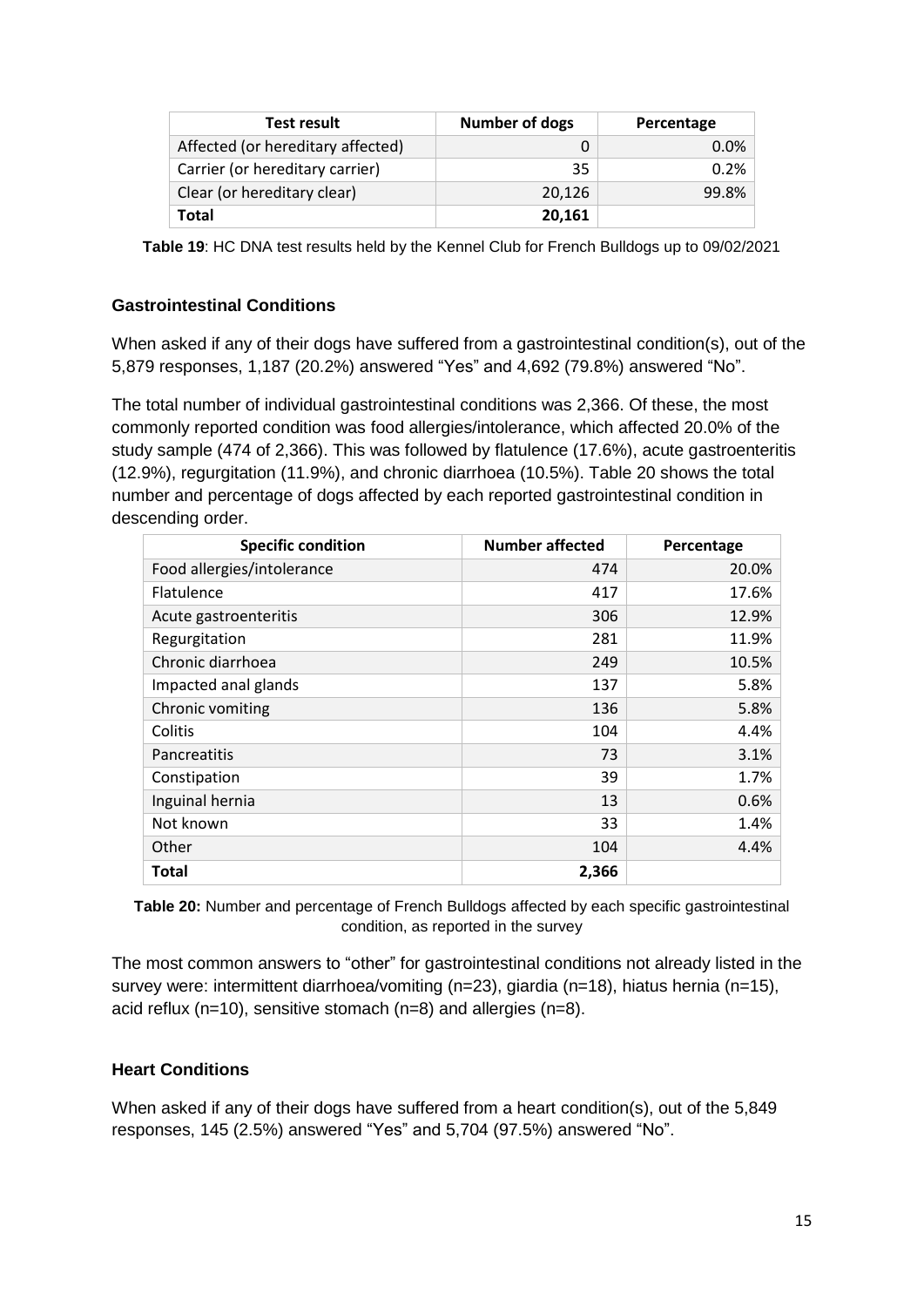| <b>Test result</b>                | <b>Number of dogs</b> | Percentage |
|-----------------------------------|-----------------------|------------|
| Affected (or hereditary affected) |                       | 0.0%       |
| Carrier (or hereditary carrier)   | 35                    | 0.2%       |
| Clear (or hereditary clear)       | 20.126                | 99.8%      |
| Total                             | 20,161                |            |

**Table 19**: HC DNA test results held by the Kennel Club for French Bulldogs up to 09/02/2021

### **Gastrointestinal Conditions**

When asked if any of their dogs have suffered from a gastrointestinal condition(s), out of the 5,879 responses, 1,187 (20.2%) answered "Yes" and 4,692 (79.8%) answered "No".

The total number of individual gastrointestinal conditions was 2,366. Of these, the most commonly reported condition was food allergies/intolerance, which affected 20.0% of the study sample (474 of 2,366). This was followed by flatulence (17.6%), acute gastroenteritis (12.9%), regurgitation (11.9%), and chronic diarrhoea (10.5%). Table 20 shows the total number and percentage of dogs affected by each reported gastrointestinal condition in descending order.

| <b>Specific condition</b>  | <b>Number affected</b> | Percentage |
|----------------------------|------------------------|------------|
| Food allergies/intolerance | 474                    | 20.0%      |
| Flatulence                 | 417                    | 17.6%      |
| Acute gastroenteritis      | 306                    | 12.9%      |
| Regurgitation              | 281                    | 11.9%      |
| Chronic diarrhoea          | 249                    | 10.5%      |
| Impacted anal glands       | 137                    | 5.8%       |
| Chronic vomiting           | 136                    | 5.8%       |
| Colitis                    | 104                    | 4.4%       |
| <b>Pancreatitis</b>        | 73                     | 3.1%       |
| Constipation               | 39                     | 1.7%       |
| Inguinal hernia            | 13                     | 0.6%       |
| Not known                  | 33                     | 1.4%       |
| Other                      | 104                    | 4.4%       |
| Total                      | 2,366                  |            |

**Table 20:** Number and percentage of French Bulldogs affected by each specific gastrointestinal condition, as reported in the survey

The most common answers to "other" for gastrointestinal conditions not already listed in the survey were: intermittent diarrhoea/vomiting (n=23), giardia (n=18), hiatus hernia (n=15), acid reflux (n=10), sensitive stomach (n=8) and allergies (n=8).

#### **Heart Conditions**

When asked if any of their dogs have suffered from a heart condition(s), out of the 5,849 responses, 145 (2.5%) answered "Yes" and 5,704 (97.5%) answered "No".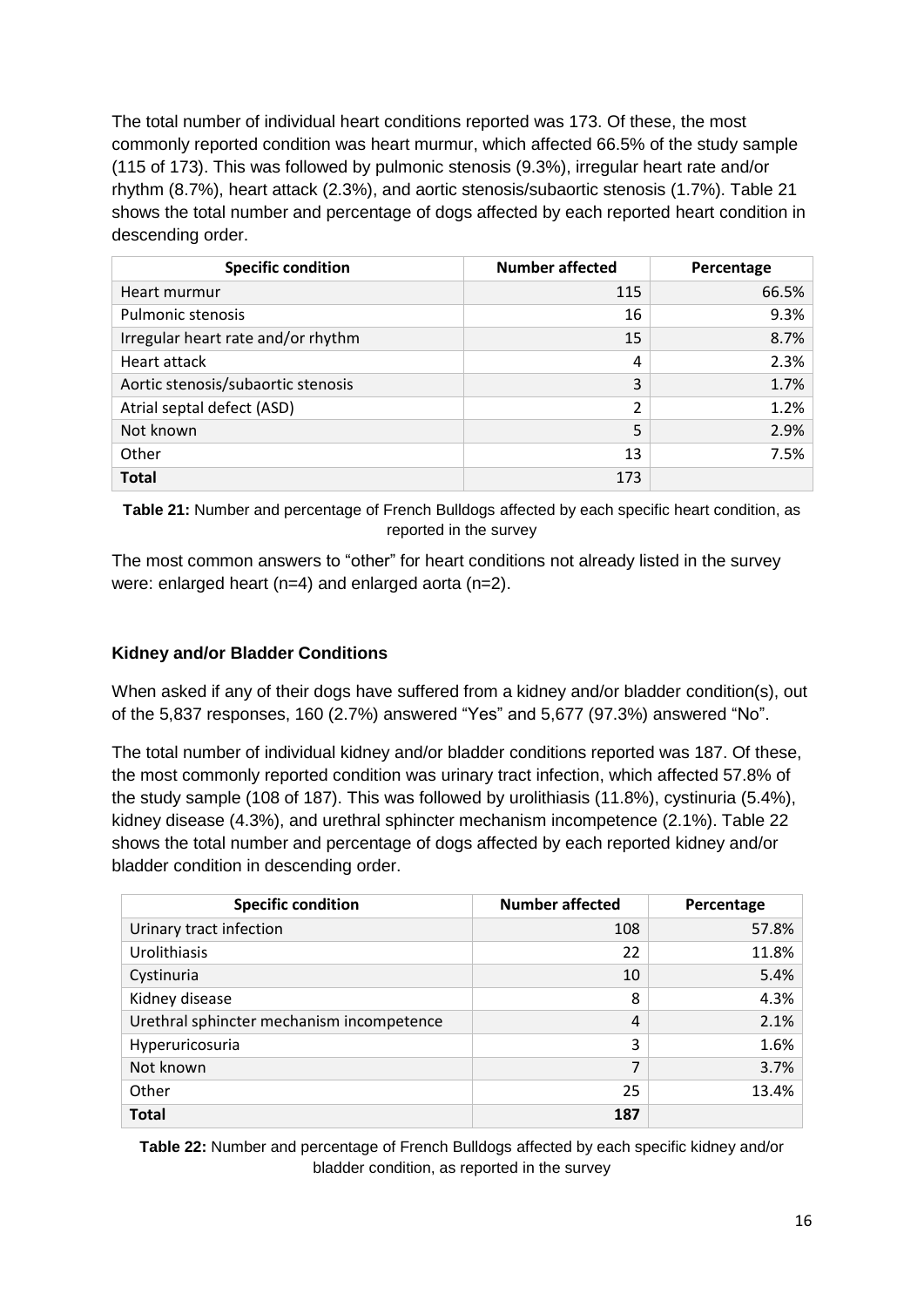The total number of individual heart conditions reported was 173. Of these, the most commonly reported condition was heart murmur, which affected 66.5% of the study sample (115 of 173). This was followed by pulmonic stenosis (9.3%), irregular heart rate and/or rhythm (8.7%), heart attack (2.3%), and aortic stenosis/subaortic stenosis (1.7%). Table 21 shows the total number and percentage of dogs affected by each reported heart condition in descending order.

| <b>Specific condition</b>          | <b>Number affected</b> | Percentage |
|------------------------------------|------------------------|------------|
| Heart murmur                       | 115                    | 66.5%      |
| <b>Pulmonic stenosis</b>           | 16                     | 9.3%       |
| Irregular heart rate and/or rhythm | 15                     | 8.7%       |
| Heart attack                       | 4                      | 2.3%       |
| Aortic stenosis/subaortic stenosis | 3                      | 1.7%       |
| Atrial septal defect (ASD)         | 2                      | 1.2%       |
| Not known                          | 5                      | 2.9%       |
| Other                              | 13                     | 7.5%       |
| <b>Total</b>                       | 173                    |            |

**Table 21:** Number and percentage of French Bulldogs affected by each specific heart condition, as reported in the survey

The most common answers to "other" for heart conditions not already listed in the survey were: enlarged heart (n=4) and enlarged aorta (n=2).

### **Kidney and/or Bladder Conditions**

When asked if any of their dogs have suffered from a kidney and/or bladder condition(s), out of the 5,837 responses, 160 (2.7%) answered "Yes" and 5,677 (97.3%) answered "No".

The total number of individual kidney and/or bladder conditions reported was 187. Of these, the most commonly reported condition was urinary tract infection, which affected 57.8% of the study sample (108 of 187). This was followed by urolithiasis (11.8%), cystinuria (5.4%), kidney disease (4.3%), and urethral sphincter mechanism incompetence (2.1%). Table 22 shows the total number and percentage of dogs affected by each reported kidney and/or bladder condition in descending order.

| <b>Specific condition</b>                 | <b>Number affected</b> | Percentage |
|-------------------------------------------|------------------------|------------|
| Urinary tract infection                   | 108                    | 57.8%      |
| Urolithiasis                              | 22                     | 11.8%      |
| Cystinuria                                | 10                     | 5.4%       |
| Kidney disease                            | 8                      | 4.3%       |
| Urethral sphincter mechanism incompetence | 4                      | 2.1%       |
| Hyperuricosuria                           | 3                      | 1.6%       |
| Not known                                 | 7                      | 3.7%       |
| Other                                     | 25                     | 13.4%      |
| <b>Total</b>                              | 187                    |            |

**Table 22:** Number and percentage of French Bulldogs affected by each specific kidney and/or bladder condition, as reported in the survey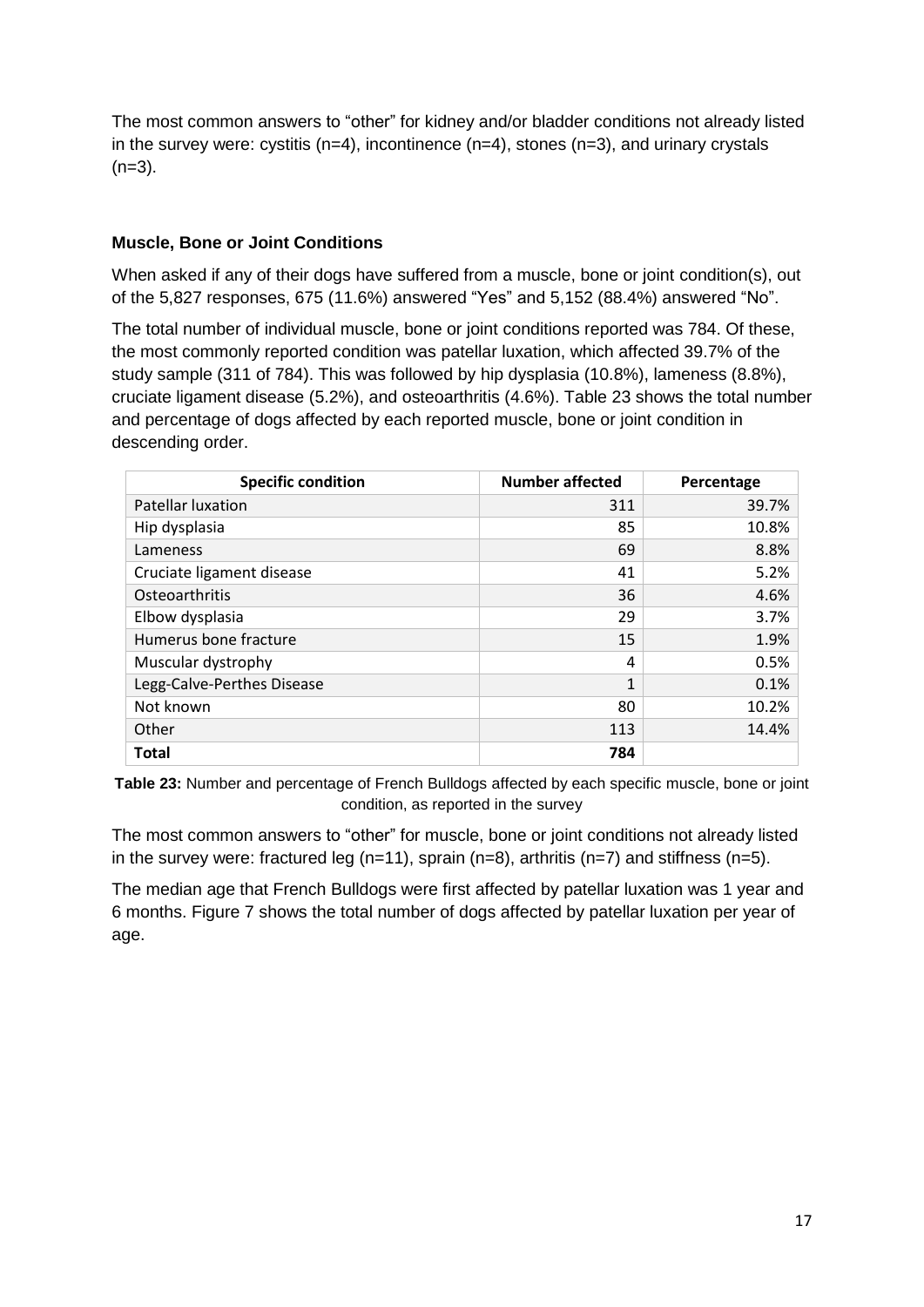The most common answers to "other" for kidney and/or bladder conditions not already listed in the survey were: cystitis ( $n=4$ ), incontinence ( $n=4$ ), stones ( $n=3$ ), and urinary crystals  $(n=3)$ .

### **Muscle, Bone or Joint Conditions**

When asked if any of their dogs have suffered from a muscle, bone or joint condition(s), out of the 5,827 responses, 675 (11.6%) answered "Yes" and 5,152 (88.4%) answered "No".

The total number of individual muscle, bone or joint conditions reported was 784. Of these, the most commonly reported condition was patellar luxation, which affected 39.7% of the study sample (311 of 784). This was followed by hip dysplasia (10.8%), lameness (8.8%), cruciate ligament disease (5.2%), and osteoarthritis (4.6%). Table 23 shows the total number and percentage of dogs affected by each reported muscle, bone or joint condition in descending order.

| <b>Specific condition</b>  | <b>Number affected</b> | Percentage |
|----------------------------|------------------------|------------|
| <b>Patellar luxation</b>   | 311                    | 39.7%      |
| Hip dysplasia              | 85                     | 10.8%      |
| Lameness                   | 69                     | 8.8%       |
| Cruciate ligament disease  | 41                     | 5.2%       |
| Osteoarthritis             | 36                     | 4.6%       |
| Elbow dysplasia            | 29                     | 3.7%       |
| Humerus bone fracture      | 15                     | 1.9%       |
| Muscular dystrophy         | 4                      | 0.5%       |
| Legg-Calve-Perthes Disease | 1                      | 0.1%       |
| Not known                  | 80                     | 10.2%      |
| Other                      | 113                    | 14.4%      |
| <b>Total</b>               | 784                    |            |

**Table 23:** Number and percentage of French Bulldogs affected by each specific muscle, bone or joint condition, as reported in the survey

The most common answers to "other" for muscle, bone or joint conditions not already listed in the survey were: fractured leg ( $n=11$ ), sprain ( $n=8$ ), arthritis ( $n=7$ ) and stiffness ( $n=5$ ).

The median age that French Bulldogs were first affected by patellar luxation was 1 year and 6 months. Figure 7 shows the total number of dogs affected by patellar luxation per year of age.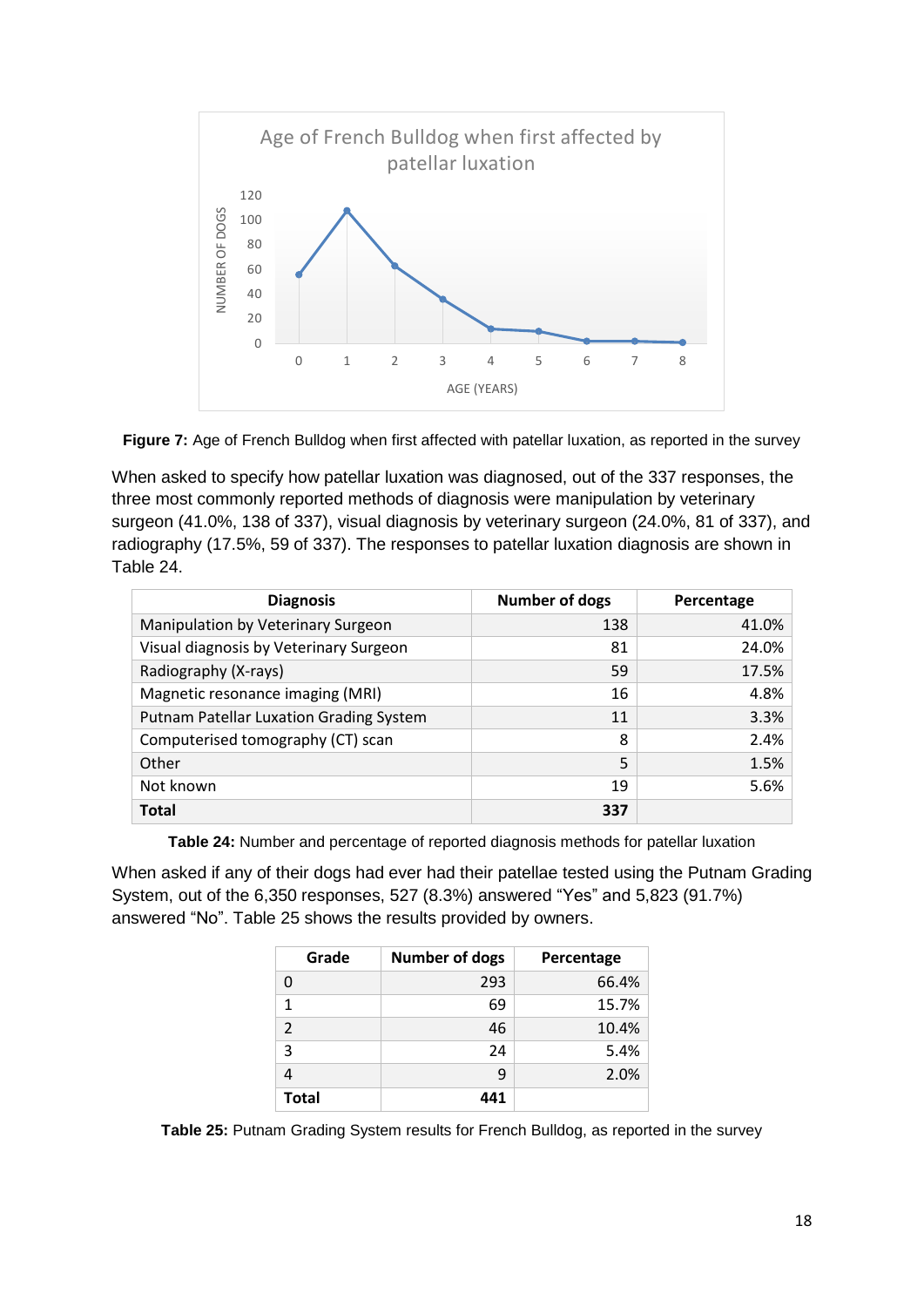



When asked to specify how patellar luxation was diagnosed, out of the 337 responses, the three most commonly reported methods of diagnosis were manipulation by veterinary surgeon (41.0%, 138 of 337), visual diagnosis by veterinary surgeon (24.0%, 81 of 337), and radiography (17.5%, 59 of 337). The responses to patellar luxation diagnosis are shown in Table 24.

| <b>Diagnosis</b>                        | <b>Number of dogs</b> | Percentage |
|-----------------------------------------|-----------------------|------------|
| Manipulation by Veterinary Surgeon      | 138                   | 41.0%      |
| Visual diagnosis by Veterinary Surgeon  | 81                    | 24.0%      |
| Radiography (X-rays)                    | 59                    | 17.5%      |
| Magnetic resonance imaging (MRI)        | 16                    | 4.8%       |
| Putnam Patellar Luxation Grading System | 11                    | 3.3%       |
| Computerised tomography (CT) scan       | 8                     | 2.4%       |
| Other                                   | 5                     | 1.5%       |
| Not known                               | 19                    | 5.6%       |
| <b>Total</b>                            | 337                   |            |

**Table 24:** Number and percentage of reported diagnosis methods for patellar luxation

When asked if any of their dogs had ever had their patellae tested using the Putnam Grading System, out of the 6,350 responses, 527 (8.3%) answered "Yes" and 5,823 (91.7%) answered "No". Table 25 shows the results provided by owners.

| Grade          | <b>Number of dogs</b> | Percentage |
|----------------|-----------------------|------------|
| 0              | 293                   | 66.4%      |
| 1              | 69                    | 15.7%      |
| $\overline{2}$ | 46                    | 10.4%      |
| 3              | 24                    | 5.4%       |
|                | q                     | 2.0%       |
| <b>Total</b>   | 441                   |            |

**Table 25:** Putnam Grading System results for French Bulldog, as reported in the survey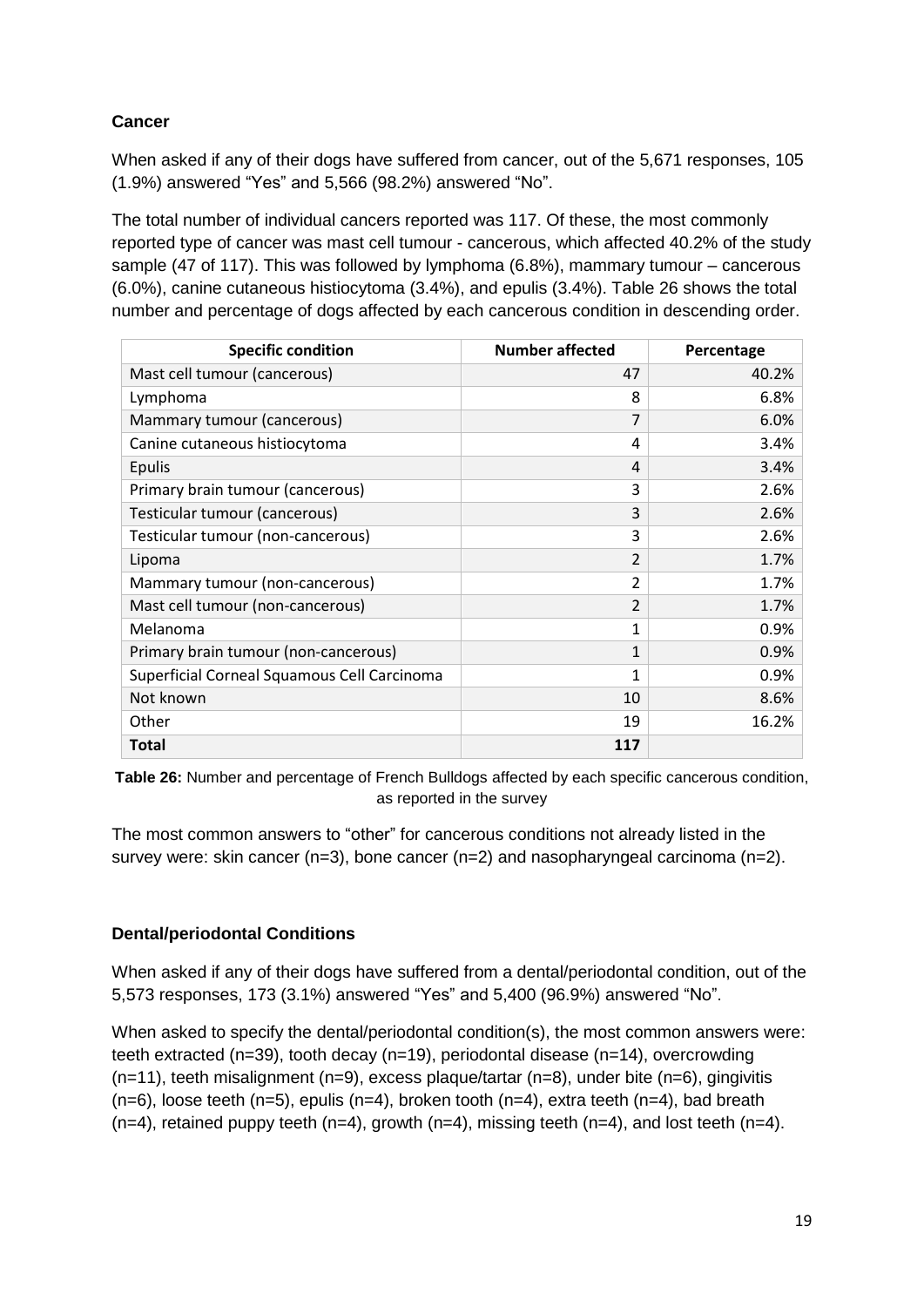# **Cancer**

When asked if any of their dogs have suffered from cancer, out of the 5,671 responses, 105 (1.9%) answered "Yes" and 5,566 (98.2%) answered "No".

The total number of individual cancers reported was 117. Of these, the most commonly reported type of cancer was mast cell tumour - cancerous, which affected 40.2% of the study sample (47 of 117). This was followed by lymphoma (6.8%), mammary tumour – cancerous (6.0%), canine cutaneous histiocytoma (3.4%), and epulis (3.4%). Table 26 shows the total number and percentage of dogs affected by each cancerous condition in descending order.

| <b>Specific condition</b>                   | <b>Number affected</b> | Percentage |
|---------------------------------------------|------------------------|------------|
| Mast cell tumour (cancerous)                | 47                     | 40.2%      |
| Lymphoma                                    | 8                      | 6.8%       |
| Mammary tumour (cancerous)                  | $\overline{7}$         | 6.0%       |
| Canine cutaneous histiocytoma               | 4                      | 3.4%       |
| <b>Epulis</b>                               | 4                      | 3.4%       |
| Primary brain tumour (cancerous)            | 3                      | 2.6%       |
| Testicular tumour (cancerous)               | 3                      | 2.6%       |
| Testicular tumour (non-cancerous)           | 3                      | 2.6%       |
| Lipoma                                      | $\overline{2}$         | 1.7%       |
| Mammary tumour (non-cancerous)              | $\overline{2}$         | 1.7%       |
| Mast cell tumour (non-cancerous)            | $\overline{2}$         | 1.7%       |
| Melanoma                                    | 1                      | 0.9%       |
| Primary brain tumour (non-cancerous)        | 1                      | 0.9%       |
| Superficial Corneal Squamous Cell Carcinoma | 1                      | 0.9%       |
| Not known                                   | 10                     | 8.6%       |
| Other                                       | 19                     | 16.2%      |
| <b>Total</b>                                | 117                    |            |

**Table 26:** Number and percentage of French Bulldogs affected by each specific cancerous condition, as reported in the survey

The most common answers to "other" for cancerous conditions not already listed in the survey were: skin cancer  $(n=3)$ , bone cancer  $(n=2)$  and nasopharyngeal carcinoma  $(n=2)$ .

# **Dental/periodontal Conditions**

When asked if any of their dogs have suffered from a dental/periodontal condition, out of the 5,573 responses, 173 (3.1%) answered "Yes" and 5,400 (96.9%) answered "No".

When asked to specify the dental/periodontal condition(s), the most common answers were: teeth extracted (n=39), tooth decay (n=19), periodontal disease (n=14), overcrowding (n=11), teeth misalignment (n=9), excess plaque/tartar (n=8), under bite (n=6), gingivitis  $(n=6)$ , loose teeth  $(n=5)$ , epulis  $(n=4)$ , broken tooth  $(n=4)$ , extra teeth  $(n=4)$ , bad breath  $(n=4)$ , retained puppy teeth  $(n=4)$ , growth  $(n=4)$ , missing teeth  $(n=4)$ , and lost teeth  $(n=4)$ .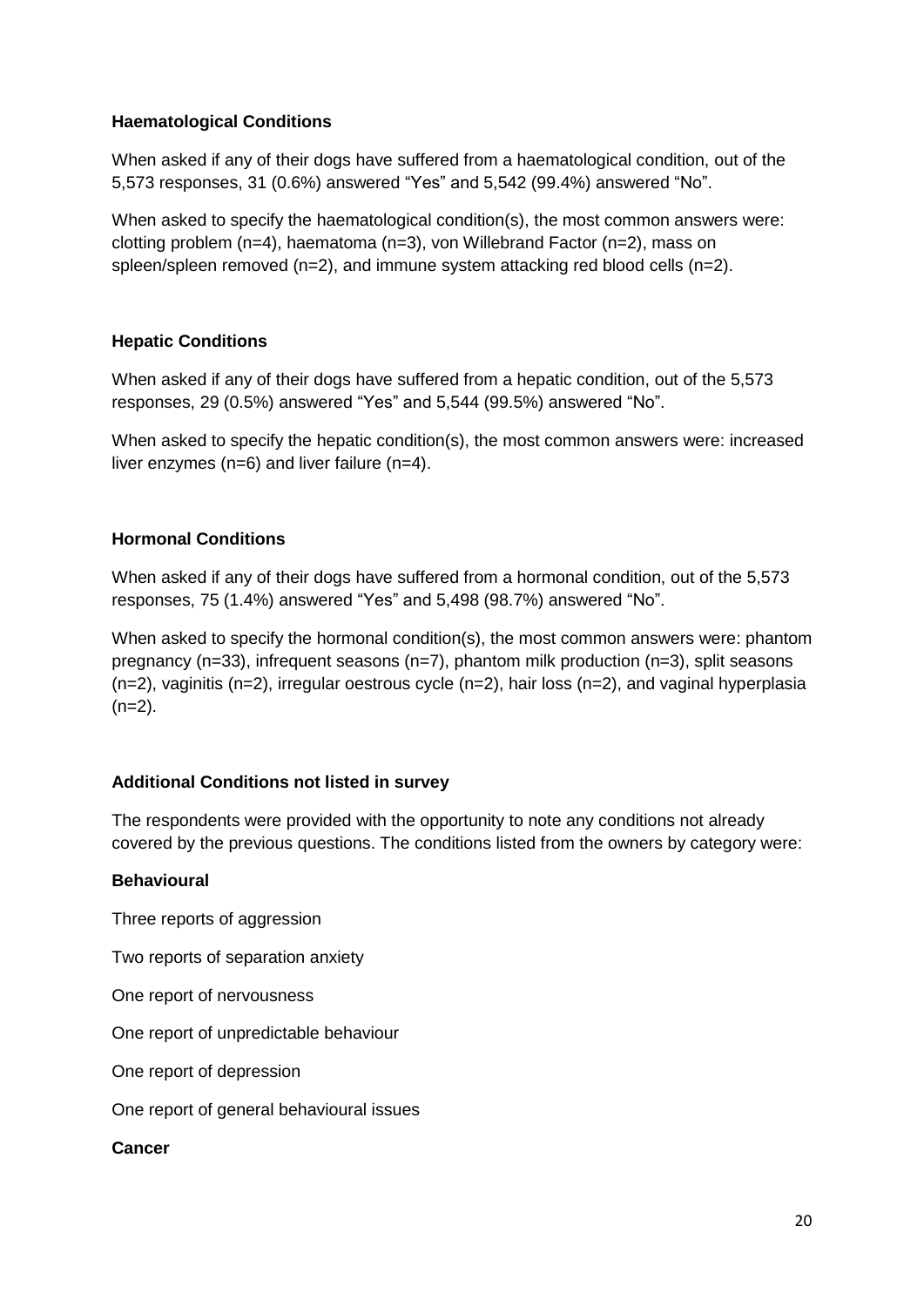### **Haematological Conditions**

When asked if any of their dogs have suffered from a haematological condition, out of the 5,573 responses, 31 (0.6%) answered "Yes" and 5,542 (99.4%) answered "No".

When asked to specify the haematological condition(s), the most common answers were: clotting problem (n=4), haematoma (n=3), von Willebrand Factor (n=2), mass on spleen/spleen removed  $(n=2)$ , and immune system attacking red blood cells  $(n=2)$ .

### **Hepatic Conditions**

When asked if any of their dogs have suffered from a hepatic condition, out of the 5,573 responses, 29 (0.5%) answered "Yes" and 5,544 (99.5%) answered "No".

When asked to specify the hepatic condition(s), the most common answers were: increased liver enzymes (n=6) and liver failure (n=4).

### **Hormonal Conditions**

When asked if any of their dogs have suffered from a hormonal condition, out of the 5,573 responses, 75 (1.4%) answered "Yes" and 5,498 (98.7%) answered "No".

When asked to specify the hormonal condition(s), the most common answers were: phantom pregnancy (n=33), infrequent seasons (n=7), phantom milk production (n=3), split seasons  $(n=2)$ , vaginitis  $(n=2)$ , irregular oestrous cycle  $(n=2)$ , hair loss  $(n=2)$ , and vaginal hyperplasia  $(n=2)$ .

#### **Additional Conditions not listed in survey**

The respondents were provided with the opportunity to note any conditions not already covered by the previous questions. The conditions listed from the owners by category were:

#### **Behavioural**

Three reports of aggression

Two reports of separation anxiety

One report of nervousness

One report of unpredictable behaviour

One report of depression

One report of general behavioural issues

**Cancer**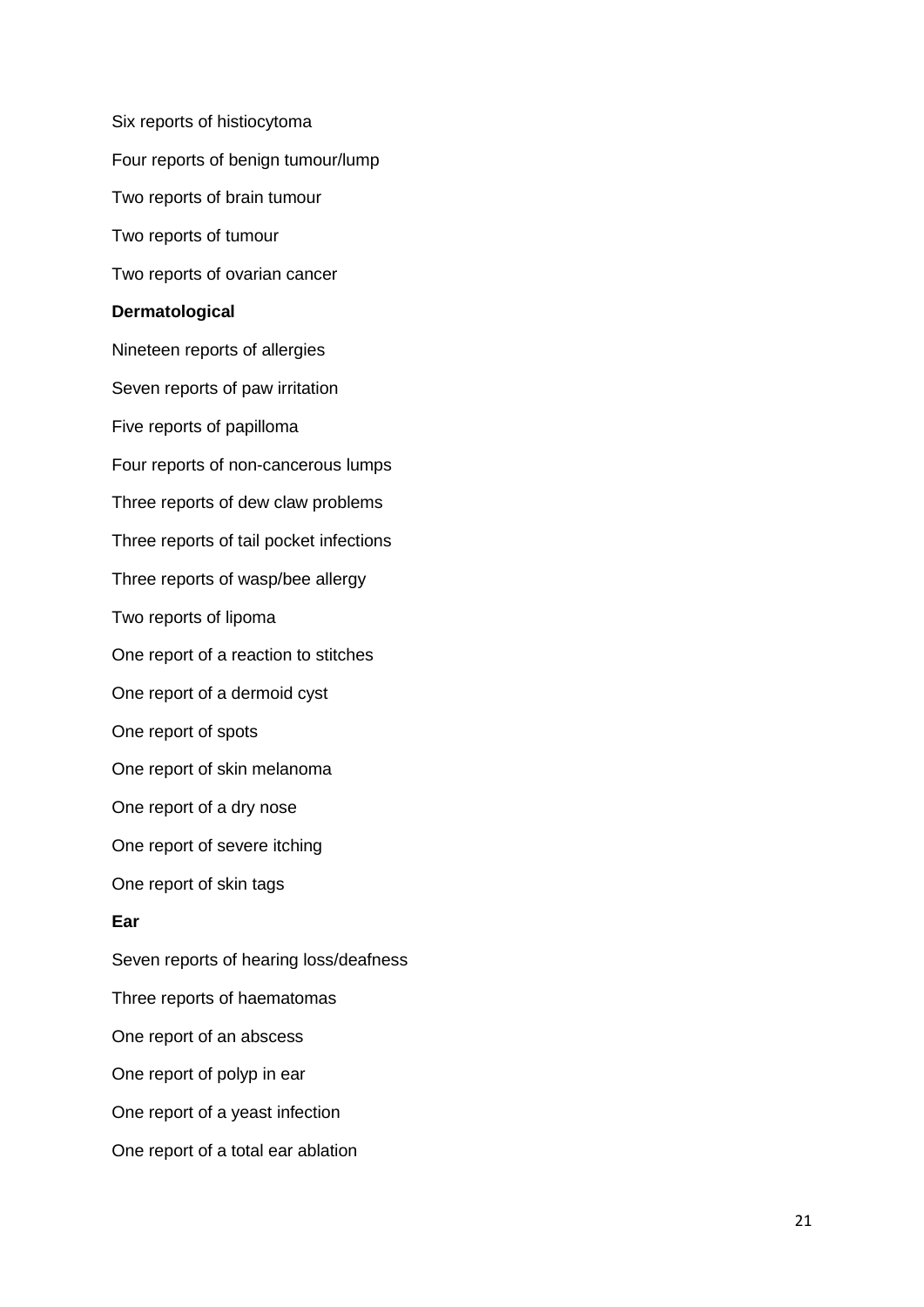Six reports of histiocytoma Four reports of benign tumour/lump Two reports of brain tumour Two reports of tumour Two reports of ovarian cancer **Dermatological** Nineteen reports of allergies Seven reports of paw irritation Five reports of papilloma Four reports of non-cancerous lumps Three reports of dew claw problems Three reports of tail pocket infections Three reports of wasp/bee allergy Two reports of lipoma One report of a reaction to stitches One report of a dermoid cyst One report of spots One report of skin melanoma One report of a dry nose One report of severe itching One report of skin tags **Ear** Seven reports of hearing loss/deafness Three reports of haematomas One report of an abscess One report of polyp in ear One report of a yeast infection One report of a total ear ablation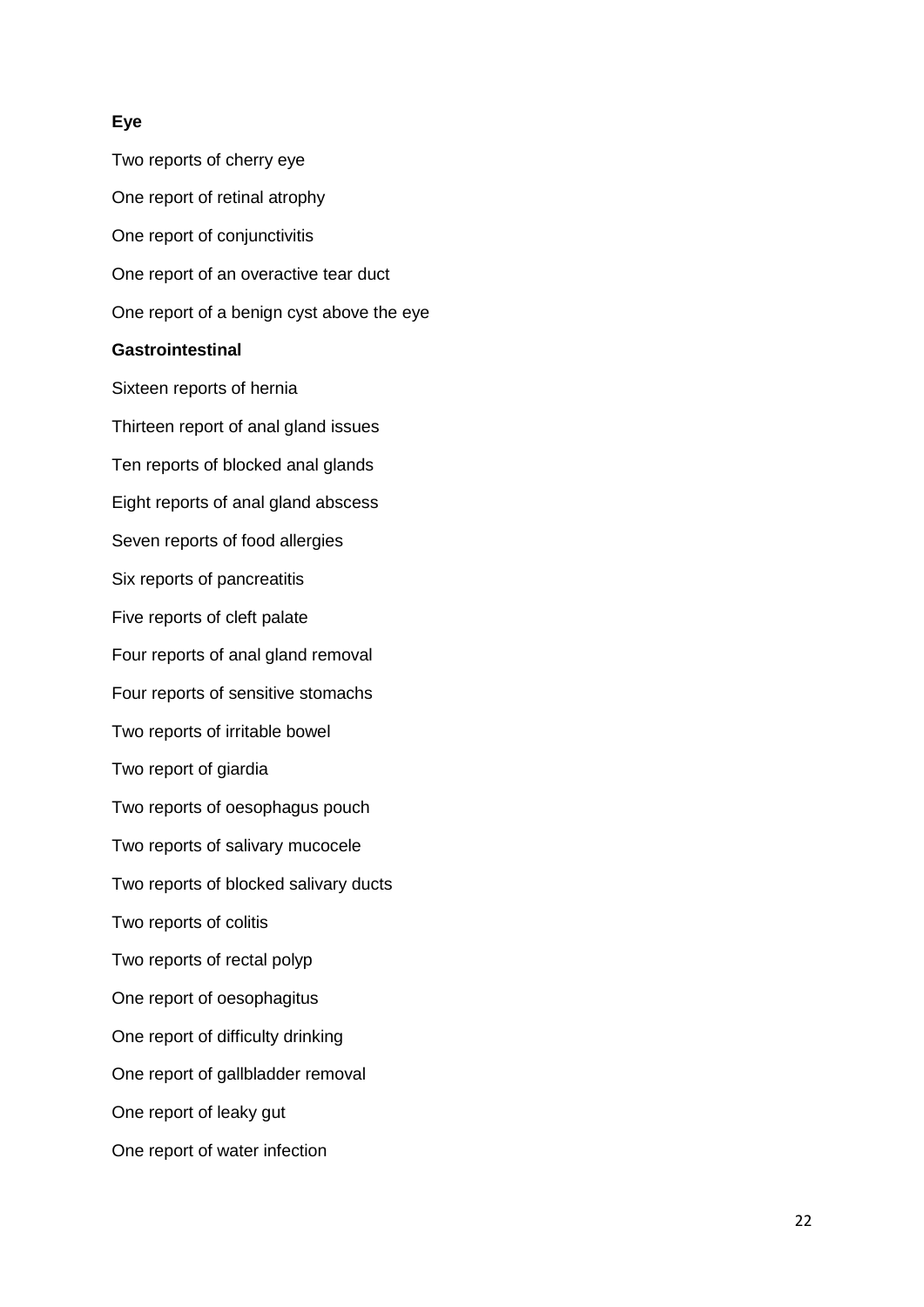### **Eye**

Two reports of cherry eye One report of retinal atrophy One report of conjunctivitis One report of an overactive tear duct One report of a benign cyst above the eye **Gastrointestinal** Sixteen reports of hernia Thirteen report of anal gland issues Ten reports of blocked anal glands Eight reports of anal gland abscess Seven reports of food allergies Six reports of pancreatitis Five reports of cleft palate Four reports of anal gland removal Four reports of sensitive stomachs Two reports of irritable bowel Two report of giardia Two reports of oesophagus pouch Two reports of salivary mucocele Two reports of blocked salivary ducts Two reports of colitis Two reports of rectal polyp One report of oesophagitus One report of difficulty drinking One report of gallbladder removal One report of leaky gut One report of water infection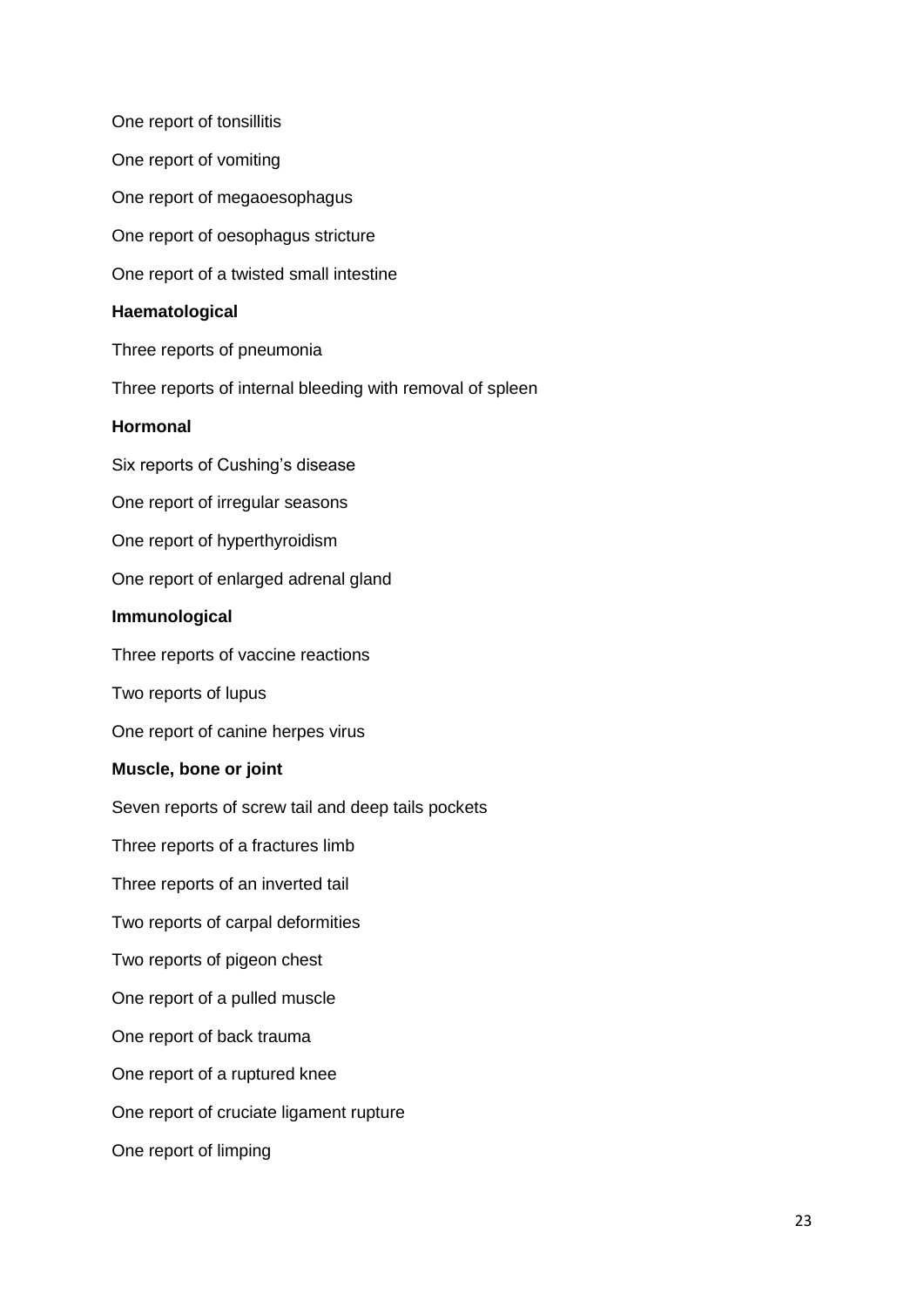One report of tonsillitis One report of vomiting One report of megaoesophagus One report of oesophagus stricture One report of a twisted small intestine **Haematological** Three reports of pneumonia Three reports of internal bleeding with removal of spleen **Hormonal** Six reports of Cushing's disease One report of irregular seasons One report of hyperthyroidism One report of enlarged adrenal gland **Immunological** Three reports of vaccine reactions Two reports of lupus One report of canine herpes virus **Muscle, bone or joint** Seven reports of screw tail and deep tails pockets Three reports of a fractures limb Three reports of an inverted tail Two reports of carpal deformities Two reports of pigeon chest One report of a pulled muscle One report of back trauma One report of a ruptured knee One report of cruciate ligament rupture One report of limping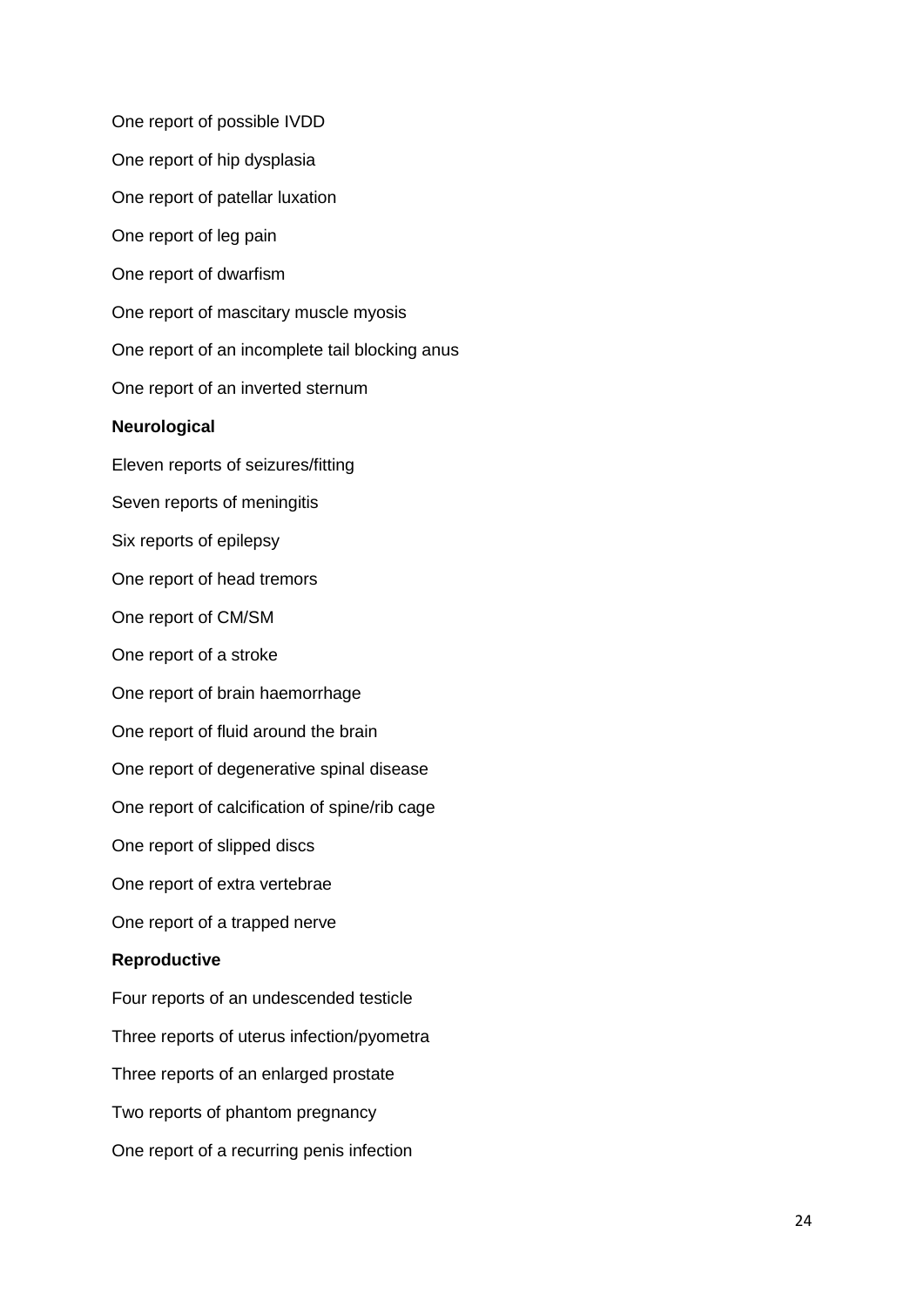One report of possible IVDD One report of hip dysplasia One report of patellar luxation One report of leg pain One report of dwarfism One report of mascitary muscle myosis One report of an incomplete tail blocking anus One report of an inverted sternum **Neurological** Eleven reports of seizures/fitting Seven reports of meningitis Six reports of epilepsy One report of head tremors One report of CM/SM One report of a stroke One report of brain haemorrhage One report of fluid around the brain One report of degenerative spinal disease One report of calcification of spine/rib cage One report of slipped discs One report of extra vertebrae One report of a trapped nerve **Reproductive** Four reports of an undescended testicle Three reports of uterus infection/pyometra Three reports of an enlarged prostate Two reports of phantom pregnancy One report of a recurring penis infection